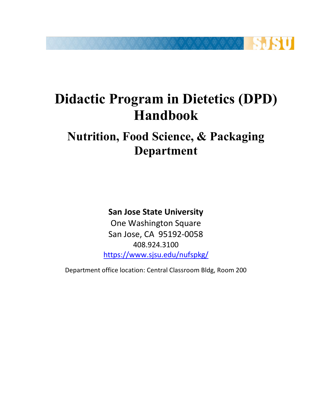

# **Didactic Program in Dietetics (DPD) Handbook**

# **Nutrition, Food Science, & Packaging Department**

## **San Jose State University**

 One Washington Square San Jose, CA 95192-0058 408.924.3100 https://www.sjsu.edu/nufspkg/

Department office location: Central Classroom Bldg, Room 200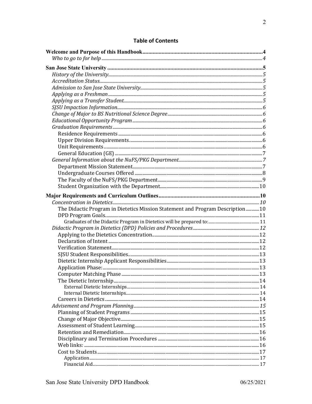| The Didactic Program in Dietetics Mission Statement and Program Description10 |  |
|-------------------------------------------------------------------------------|--|
|                                                                               |  |
|                                                                               |  |
|                                                                               |  |
|                                                                               |  |
|                                                                               |  |
|                                                                               |  |
|                                                                               |  |
|                                                                               |  |
|                                                                               |  |
|                                                                               |  |
|                                                                               |  |
|                                                                               |  |
|                                                                               |  |
|                                                                               |  |
|                                                                               |  |
|                                                                               |  |
|                                                                               |  |
|                                                                               |  |
|                                                                               |  |
|                                                                               |  |
|                                                                               |  |
|                                                                               |  |
|                                                                               |  |

## **Table of Contents**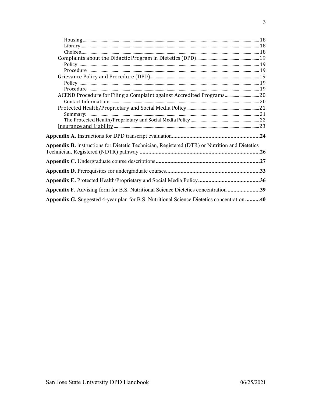| Appendix B. instructions for Dietetic Technician, Registered (DTR) or Nutrition and Dietetics |  |
|-----------------------------------------------------------------------------------------------|--|
|                                                                                               |  |
|                                                                                               |  |
|                                                                                               |  |
| Appendix F. Advising form for B.S. Nutritional Science Dietetics concentration 39             |  |
| Appendix G. Suggested 4-year plan for B.S. Nutritional Science Dietetics concentration40      |  |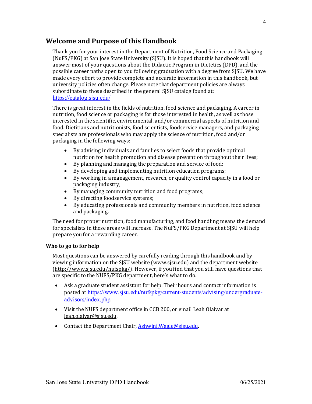## **Welcome and Purpose of this Handbook**

 Thank you for your interest in the Department of Nutrition, Food Science and Packaging (NuFS/PKG) at San Jose State University (SJSU). It is hoped that this handbook will answer most of your questions about the Didactic Program in Dietetics (DPD), and the possible career paths open to you following graduation with a degree from SJSU. We have made every effort to provide complete and accurate information in this handbook, but university policies often change. Please note that department policies are always subordinate to those described in the general SJSU catalog found at: https://catalog.sjsu.edu/

 There is great interest in the fields of nutrition, food science and packaging. A career in nutrition, food science or packaging is for those interested in health, as well as those interested in the scientific, environmental, and/or commercial aspects of nutrition and food. Dietitians and nutritionists, food scientists, foodservice managers, and packaging specialists are professionals who may apply the science of nutrition, food and/or packaging in the following ways:

- nutrition for health promotion and disease prevention throughout their lives; • By advising individuals and families to select foods that provide optimal
- By planning and managing the preparation and service of food;
- By developing and implementing nutrition education programs;
- By working in a management, research, or quality control capacity in a food or packaging industry;
- By managing community nutrition and food programs;
- By directing foodservice systems;
- By educating professionals and community members in nutrition, food science and packaging.

 The need for proper nutrition, food manufacturing, and food handling means the demand for specialists in these areas will increase. The NuFS/PKG Department at SJSU will help prepare you for a rewarding career.

#### **Who to go to for help**

 Most questions can be answered by carefully reading through this handbook and by viewing information on the SJSU website (www.sjsu.edu) and the department website (http://www.sjsu.edu/nufspkg/). However, if you find that you still have questions that are specific to the NUFS/PKG department, here's what to do.

- Ask a graduate student assistant for help. Their hours and contact information is posted at https://www.sjsu.edu/nufspkg/current-students/advising/undergraduateadvisors/index.php.
- Visit the NUFS department office in CCB 200, or email Leah Olaivar at leah.olaivar@sjsu.edu.
- Contact the Department Chair, Ashwini.Wagle@sjsu.edu.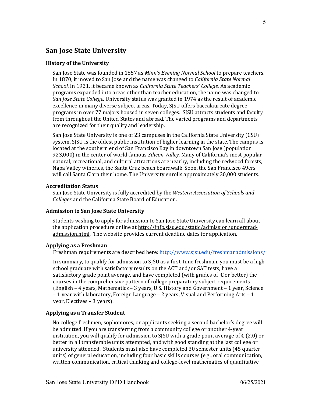## **San Jose State University**

#### **History of the University**

San Jose State was founded in 1857 as *Minn's Evening Normal School* to prepare teachers. In 1870, it moved to San Jose and the name was changed to *California State Normal* School. In 1921, it became known as *California State Teachers' College.* As academic programs expanded into areas other than teacher education, the name was changed to San Jose State College. University status was granted in 1974 as the result of academic excellence in many diverse subject areas. Today, SJSU offers baccalaureate degree programs in over 77 majors housed in seven colleges. SJSU attracts students and faculty from throughout the United States and abroad. The varied programs and departments are recognized for their quality and leadership.

 San Jose State University is one of 23 campuses in the California State University (CSU) system. SJSU is the oldest public institution of higher learning in the state. The campus is located at the southern end of San Francisco Bay in downtown San Jose (population 923,000) in the center of world-famous *Silicon Valley.* Many of California's most popular natural, recreational, and cultural attractions are nearby, including the redwood forests, Napa Valley wineries, the Santa Cruz beach boardwalk. Soon, the San Francisco 49ers will call Santa Clara their home. The University enrolls approximately 30,000 students.

#### **Accreditation Status**

  San Jose State University is fully accredited by the *Western Association of Schools and Colleges* and the California State Board of Education.

#### **Admission to San Jose State University**

 Students wishing to apply for admission to San Jose State University can learn all about the application procedure online at http://info.sjsu.edu/static/admission/undergradadmission.html. The website provides current deadline dates for application.

#### **Applying as a Freshman**

 Freshman requirements are described here: http://www.sjsu.edu/freshmanadmissions/

In summary, to qualify for admission to SJSU as a first-time freshman, you must be a high school graduate with satisfactory results on the ACT and/or SAT tests, have a satisfactory grade point average, and have completed (with grades of C or better) the courses in the comprehensive pattern of college preparatory subject requirements (English – 4 years, Mathematics – 3 years, U.S. History and Government – 1 year, Science – 1 year with laboratory, Foreign Language – 2 years, Visual and Performing Arts – 1 year, Electives - 3 years).

#### **Applying as a Transfer Student**

 No college freshmen, sophomores, or applicants seeking a second bachelor's degree will be admitted. If you are transferring from a community college or another 4-year institution, you will qualify for admission to SJSU with a grade point average of **C** (2.0) or better in all transferable units attempted, and with good standing at the last college or university attended. Students must also have completed 30 semester units (45 quarter units) of general education, including four basic skills courses (e.g., oral communication, written communication, critical thinking and college-level mathematics of quantitative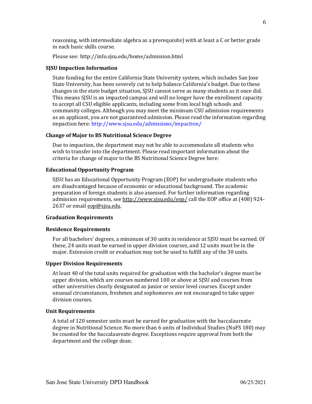reasoning, with intermediate algebra as a prerequisite) with at least a C or better grade in each basic skills course.

 Please see: http://info.sjsu.edu/home/admission.html

#### **SJSU Impaction Information**

 State funding for the entire California State University system, which includes San Jose State University, has been severely cut to help balance California's budget. Due to these changes in the state budget situation, SJSU cannot serve as many students as it once did. This means SJSU is an impacted campus and will no longer have the enrollment capacity to accept all CSU eligible applicants, including some from local high schools and community colleges. Although you may meet the minimum CSU admission requirements as an applicant, you are not guaranteed admission. Please read the information regarding impaction here: http://www.sjsu.edu/admissions/impaction/

#### **Change of Major to BS Nutritional Science Degree**

Due to impaction, the department may not be able to accommodate all students who wish to transfer into the department. Please read important information about the criteria for change of major to the BS Nutritional Science Degree here:

#### **Educational Opportunity Program**

SJSU has an Educational Opportunity Program (EOP) for undergraduate students who are disadvantaged because of economic or educational background. The academic preparation of foreign students is also assessed. For further information regarding admission requirements, see http://www.sjsu.edu/eop/ call the EOP office at (408) 924-2637 or email eop@sisu.edu.

#### **Graduation Requirements**

#### **Residence Requirements**

For all bachelors' degrees, a minimum of 30 units in residence at SJSU must be earned. Of these, 24 units must be earned in upper division courses, and 12 units must be in the major. Extension credit or evaluation may not be used to fulfill any of the 30 units.

#### **Upper Division Requirements**

At least 40 of the total units required for graduation with the bachelor's degree must be upper division, which are courses numbered 100 or above at SJSU and courses from other universities clearly designated as junior or senior level courses. Except under unusual circumstances, freshmen and sophomores are not encouraged to take upper division courses.

#### **Unit Requirements**

A total of 120 semester units must be earned for graduation with the baccalaureate degree in Nutritional Science. No more than 6 units of Individual Studies (NuFS 180) may be counted for the baccalaureate degree. Exceptions require approval from both the department and the college dean.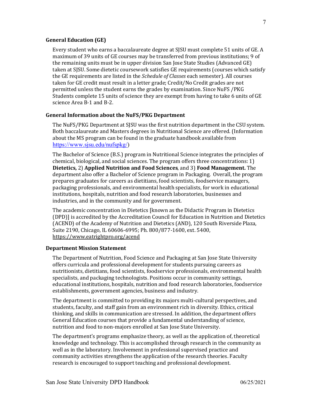#### **General Education (GE)**

Every student who earns a baccalaureate degree at SJSU must complete 51 units of GE. A maximum of 39 units of GE courses may be transferred from previous institutions; 9 of the remaining units must be in upper division San Jose State Studies (Advanced GE) taken at SJSU. Some dietetic coursework satisfies GE requirements (courses which satisfy the GE requirements are listed in the *Schedule of Classes* each semester). All courses taken for GE credit must result in a letter grade; Credit/No Credit grades are not permitted unless the student earns the grades by examination. Since NuFS /PKG Students complete 15 units of science they are exempt from having to take 6 units of GE science Area B-1 and B-2.

#### **General Information about the NuFS/PKG Department**

The NuFS/PKG Department at SJSU was the first nutrition department in the CSU system. Both baccalaureate and Masters degrees in Nutritional Science are offered. (Information about the MS program can be found in the graduate handbook available from https://www.sjsu.edu/nufspkg/)

The Bachelor of Science (B.S.) program in Nutritional Science integrates the principles of chemical, biological, and social sciences. The program offers three concentrations: 1) department also offer a Bachelor of Science program in Packaging. Overall, the program prepares graduates for careers as dietitians, food scientists, foodservice managers, packaging professionals, and environmental health specialists, for work in educational institutions, hospitals, nutrition and food research laboratories, businesses and industries, and in the community and for government. **Dietetics,** 2) **Applied Nutrition and Food Sciences**, and 3) **Food Management.** The

The academic concentration in Dietetics [known as the Didactic Program in Dietetics (DPD)] is accredited by the Accreditation Council for Education in Nutrition and Dietetics (ACEND) of the Academy of Nutrition and Dietetics (AND), 120 South Riverside Plaza, Suite 2190, Chicago, IL 60606-6995; Ph. 800/877-1600, ext. 5400, https://www.eatrightpro.org/acend

#### **Department Mission Statement**

 The Department of Nutrition, Food Science and Packaging at San Jose State University offers curricula and professional development for students pursuing careers as nutritionists, dietitians, food scientists, foodservice professionals, environmental health specialists, and packaging technologists. Positions occur in community settings, educational institutions, hospitals, nutrition and food research laboratories, foodservice establishments, government agencies, business and industry.

 The department is committed to providing its majors multi-cultural perspectives, and students, faculty, and staff gain from an environment rich in diversity. Ethics, critical thinking, and skills in communication are stressed. In addition, the department offers nutrition and food to non-majors enrolled at San Jose State University. General Education courses that provide a fundamental understanding of science,

 The department's programs emphasize theory, as well as the application of, theoretical well as in the laboratory. Involvement in professional supervised practice and community activities strengthens the application of the research theories. Faculty research is encouraged to support teaching and professional development. knowledge and technology. This is accomplished through research in the community as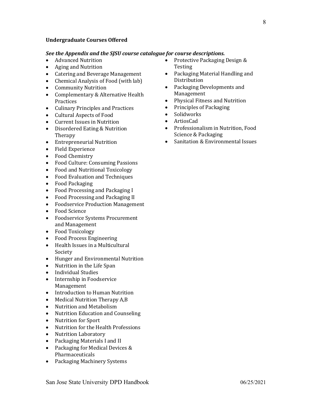#### **Undergraduate Courses Offered**

#### *See the Appendix and the SJSU course catalogue for course descriptions.*

- Advanced Nutrition
- Aging and Nutrition
- Catering and Beverage Management
- Chemical Analysis of Food (with lab)
- Community Nutrition
- Complementary & Alternative Health Practices
- Culinary Principles and Practices
- Cultural Aspects of Food
- Current Issues in Nutrition
- Disordered Eating & Nutrition Therapy
- Entrepreneurial Nutrition
- Field Experience
- Food Chemistry
- Food Culture: Consuming Passions
- Food and Nutritional Toxicology
- Food Evaluation and Techniques
- Food Packaging
- Food Processing and Packaging I
- Food Processing and Packaging II
- Foodservice Production Management
- Food Science
- Foodservice Systems Procurement and Management
- Food Toxicology
- Food Process Engineering
- Health Issues in a Multicultural Society
- Hunger and Environmental Nutrition
- Nutrition in the Life Span
- Individual Studies
- Internship in Foodservice Management
- Introduction to Human Nutrition
- Medical Nutrition Therapy A,B
- Nutrition and Metabolism
- Nutrition Education and Counseling
- Nutrition for Sport
- Nutrition for the Health Professions
- Nutrition Laboratory
- Packaging Materials I and II
- Packaging for Medical Devices  $&$ Pharmaceuticals
- Packaging Machinery Systems
- Protective Packaging Design & Testing
- Packaging Material Handling and Distribution
- Packaging Developments and Management
- Physical Fitness and Nutrition
- Principles of Packaging
- Solidworks
- ArtiosCad
- Science & Packaging Professionalism in Nutrition, Food
- Sanitation & Environmental Issues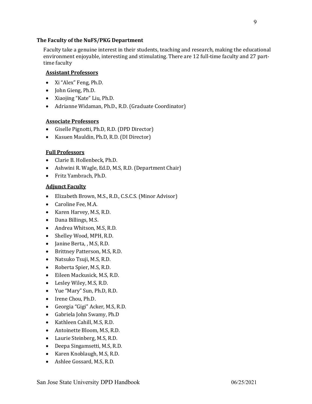#### <span id="page-8-0"></span> **The Faculty of the NuFS/PKG Department**

 Faculty take a genuine interest in their students, teaching and research, making the educational environment enjoyable, interesting and stimulating. There are 12 full-time faculty and 27 part- time faculty

### **Assistant Professors**

- Xi "Alex" Feng, Ph.D.
- John Gieng, Ph.D.
- Xiaojing "Kate" Liu, Ph.D.
- Adrianne Widaman, Ph.D., R.D. (Graduate Coordinator)

### **Associate Professors**

- Giselle Pignotti, Ph.D, R.D. (DPD Director)
- Kasuen Mauldin, Ph.D, R.D. (DI Director)

#### **Full Professors**

- Clarie B. Hollenbeck, Ph.D.
- Ashwini R. Wagle, Ed.D, M.S, R.D. (Department Chair)
- Fritz Yambrach, Ph.D.

### **Adjunct Faculty**

- Elizabeth Brown, M.S., R.D., C.S.C.S. (Minor Advisor)
- Caroline Fee, M.A.
- Karen Harvey, M.S, R.D.
- Dana Billings, M.S.
- Andrea Whitson, M.S, R.D.
- Shelley Wood, MPH, R.D.
- Janine Berta, , M.S, R.D.
- Brittney Patterson, M.S, R.D.
- Natsuko Tsuji, M.S, R.D.
- Roberta Spier, M.S, R.D.
- Eileen Mackusick, M.S, R.D.
- Lesley Wiley, M.S, R.D.
- Yue "Mary" Sun, Ph.D, R.D.
- Irene Chou, Ph.D.
- Georgia "Gigi" Acker, M.S, R.D.
- Gabriela John Swamy, Ph.D
- Kathleen Cahill, M.S, R.D.
- Antoinette Bloom, M.S, R.D.
- Laurie Steinberg, M.S, R.D.
- Deepa Singamsetti, M.S, R.D.
- Karen Knoblaugh, M.S, R.D.
- Ashlee Gossard, M.S, R.D.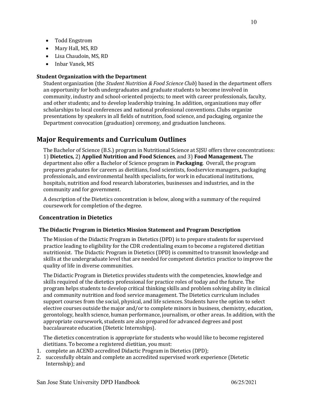- <span id="page-9-0"></span>• Todd Engstrom
- Mary Hall, MS, RD
- Lisa Chaudoin, MS, RD
- Inbar Vanek, MS

#### **Student Organization with the Department**

Student organization (the *Student Nutrition & Food Science Club*) based in the department offers an opportunity for both undergraduates and graduate students to become involved in community, industry and school-oriented projects; to meet with career professionals, faculty, and other students; and to develop leadership training. In addition, organizations may offer scholarships to local conferences and national professional conventions. Clubs organize presentations by speakers in all fields of nutrition, food science, and packaging, organize the Department convocation (graduation) ceremony, and graduation luncheons.

## **Major Requirements and Curriculum Outlines**

The Bachelor of Science (B.S.) program in Nutritional Science at SJSU offers three concentrations:  1) **Dietetics,** 2) **Applied Nutrition and Food Sciences**, and 3) **Food Management.** The department also offer a Bachelor of Science program in **Packaging**. Overall, the program prepares graduates for careers as dietitians, food scientists, foodservice managers, packaging professionals, and environmental health specialists, for work in educational institutions, hospitals, nutrition and food research laboratories, businesses and industries, and in the community and for government.

A description of the Dietetics concentration is below, along with a summary of the required coursework for completion of the degree.

### **Concentration in Dietetics**

### **The Didactic Program in Dietetics Mission Statement and Program Description**

The Mission of the Didactic Program in Dietetics (DPD) is to prepare students for supervised practice leading to eligibility for the CDR credentialing exam to become a registered dietitian nutritionist. The Didactic Program in Dietetics (DPD) is committed to transmit knowledge and skills at the undergraduate level that are needed for competent dietetics practice to improve the quality of life in diverse communities.

The Didactic Program in Dietetics provides students with the competencies, knowledge and skills required of the dietetics professional for practice roles of today and the future. The program helps students to develop critical thinking skills and problem solving ability in clinical and community nutrition and food service management. The Dietetics curriculum includes support courses from the social, physical, and life sciences. Students have the option to select elective courses outside the major and/or to complete minors in business, chemistry, education, gerontology, health science, human performance, journalism, or other areas. In addition, with the appropriate coursework, students are also prepared for advanced degrees and post baccalaureate education (Dietetic Internships). 

 The dietetics concentration is appropriate for students who would like to become registered dietitians. To become a registered dietitian, you must:

- 1. complete an ACEND accredited Didactic Program in Dietetics (DPD);
- 2. successfully obtain and complete an accredited supervised work experience (Dietetic Internship); and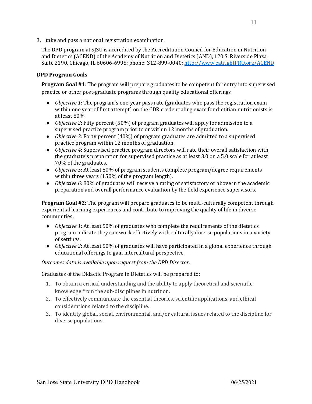<span id="page-10-0"></span>3. take and pass a national registration examination.

The DPD program at SJSU is accredited by the Accreditation Council for Education in Nutrition and Dietetics (ACEND) of the Academy of Nutrition and Dietetics (AND), 120 S. Riverside Plaza, Suite 2190, Chicago, IL 60606-6995; phone: 312-899-0040; http://www.eatrightPRO.org/ACEND

#### **DPD Program Goals**

**Program Goal #1**: The program will prepare graduates to be competent for entry into supervised practice or other post-graduate programs through quality educational offerings

- ◆ *Objective 1*: The program's one-year pass rate (graduates who pass the registration exam within one year of first attempt) on the CDR credentialing exam for dietitian nutritionists is at least 80%.
- Objective 2: Fifty percent (50%) of program graduates will apply for admission to a supervised practice program prior to or within 12 months of graduation.
- ◆ *Objective 3*: Forty percent (40%) of program graduates are admitted to a supervised practice program within 12 months of graduation.
- ◆ *Objective 4*: Supervised practice program directors will rate their overall satisfaction with the graduate's preparation for supervised practice as at least 3.0 on a 5.0 scale for at least 70% of the graduates.
- ◆ *Objective 5*: At least 80% of program students complete program/degree requirements within three years (150% of the program length).
- ◆ *Objective 6*: 80% of graduates will receive a rating of satisfactory or above in the academic preparation and overall performance evaluation by the field experience supervisors.

**Program Goal #2**: The program will prepare graduates to be multi-culturally competent through experiential learning experiences and contribute to improving the quality of life in diverse communities.

- ◆ *Objective 1*: At least 50% of graduates who complete the requirements of the dietetics program indicate they can work effectively with culturally diverse populations in a variety of settings.
- ◆ *Objective 2*: At least 50% of graduates will have participated in a global experience through educational offerings to gain intercultural perspective.

#### *Outcomes data is available upon request from the DPD Director.*

Graduates of the Didactic Program in Dietetics will be prepared to:

- 1. To obtain a critical understanding and the ability to apply theoretical and scientific knowledge from the sub-disciplines in nutrition.
- 2. To effectively communicate the essential theories, scientific applications, and ethical considerations related to the discipline.
- 3. To identify global, social, environmental, and/or cultural issues related to the discipline for diverse populations.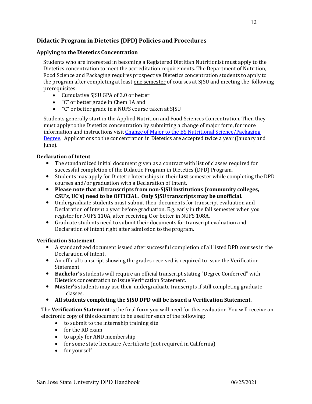## <span id="page-11-0"></span>**Didactic Program in Dietetics (DPD) Policies and Procedures**

### **Applying to the Dietetics Concentration**

 Students who are interested in becoming a Registered Dietitian Nutritionist must apply to the Dietetics concentration to meet the accreditation requirements. The Department of Nutrition, Food Science and Packaging requires prospective Dietetics concentration students to apply to the program after completing at least <u>one semester</u> of courses at SJSU and meeting the following prerequisites:

- Cumulative SJSU GPA of 3.0 or better
- "C" or better grade in Chem 1A and
- "C" or better grade in a NUFS course taken at SJSU

 Students generally start in the Applied Nutrition and Food Sciences Concentration. Then they must apply to the Dietetics concentration by submitting a change of major form, for more information and instructions visit <u>Change of Major to the BS Nutritional Science/Packagin</u>g Degree. Applications to the concentration in Dietetics are accepted twice a year (January and June).

#### **Declaration of Intent**

- The standardized initial document given as a contract with list of classes required for successful completion of the Didactic Program in Dietetics (DPD) Program.
- Students may apply for Dietetic Internships in their **last** semester while completing the DPD courses and/or graduation with a Declaration of Intent.
- **•** Please note that all transcripts from non-SJSU institutions (community colleges, CSU's, UC's) need to be OFFICIAL. Only SJSU transcripts may be unofficial.
- Undergraduate students must submit their documents for transcript evaluation and Declaration of Intent a year before graduation. E.g. early in the fall semester when you register for NUFS 110A, after receiving C or better in NUFS 108A.
- Graduate students need to submit their documents for transcript evaluation and Declaration of Intent right after admission to the program.

#### **Verification Statement**

- A standardized document issued after successful completion of all listed DPD courses in the Declaration of Intent.
- An official transcript showing the grades received is required to issue the Verification Statement
- **Bachelor's** students will require an official transcript stating "Degree Conferred" with Dietetics concentration to issue Verification Statement.
- **Master's** students may use their undergraduate transcripts if still completing graduate classes.
- **•** All students completing the SJSU DPD will be issued a Verification Statement.

The Verification Statement is the final form you will need for this evaluation You will receive an electronic copy of this document to be used for each of the following:

- to submit to the internship training site
- for the RD exam
- to apply for AND membership
- for some state licensure /certificate (not required in California)
- for yourself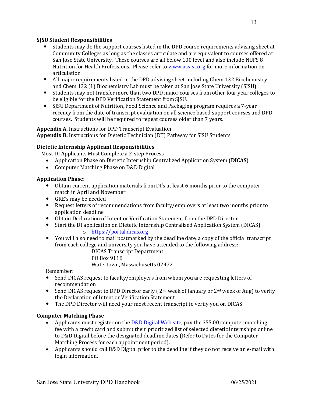#### <span id="page-12-0"></span> **SJSU Student Responsibilities**

- Students may do the support courses listed in the DPD course requirements advising sheet at Community Colleges as long as the classes articulate and are equivalent to courses offered at San Jose State University. These courses are all below 100 level and also include NUFS 8 Nutrition for Health Professions. Please refer to **www.assist.org** for more information on articulation.
- All major requirements listed in the DPD advising sheet including Chem 132 Biochemistry and Chem 132 (L) Biochemistry Lab must be taken at San Jose State University (SJSU)
- Students may not transfer more than two DPD major courses from other four year colleges to be eligible for the DPD Verification Statement from SJSU.
- SJSU Department of Nutrition, Food Science and Packaging program requires a 7-year recency from the date of transcript evaluation on all science based support courses and DPD courses. Students will be required to repeat courses older than 7 years.

### **Appendix A.** Instructions for DPD Transcript Evaluation

 **Appendix B.** Instructions for Dietetic Technician (DT) Pathway for SJSU Students

#### **Dietetic Internship Applicant Responsibilities**

Most DI Applicants Must Complete a 2-step Process

- Application Phase on Dietetic Internship Centralized Application System (DICAS)
- Computer Matching Phase on D&D Digital

#### **Application Phase:**

- Obtain current application materials from DI's at least 6 months prior to the computer match in April and November
- GRE's may be needed
- Request letters of recommendations from faculty/employers at least two months prior to application deadline
- Obtain Declaration of Intent or Verification Statement from the DPD Director
- Start the DI application on Dietetic Internship Centralized Application System (DICAS)
	- o https://portal.dicas.org
- You will also need to mail postmarked by the deadline date, a copy of the official transcript from each college and university you have attended to the following address:

 DICAS Transcript Department

PO Box 9118

Watertown, Massachusetts 02472

Remember:

- Send DICAS request to faculty/employers from whom you are requesting letters of recommendation
- Send DICAS request to DPD Director early ( $2<sup>nd</sup>$  week of January or  $2<sup>nd</sup>$  week of Aug) to verify the Declaration of Intent or Verification Statement
- The DPD Director will need your most recent transcript to verify you on DICAS

#### **Computer Matching Phase**

- Applicants must register on the **D&D Digital Web site**, pay the \$55.00 computer matching fee with a credit card and submit their prioritized list of selected dietetic internships online to D&D Digital before the designated deadline dates (Refer to Dates for the Computer Matching Process for each appointment period).
- Applicants should call D&D Digital prior to the deadline if they do not receive an e-mail with login information.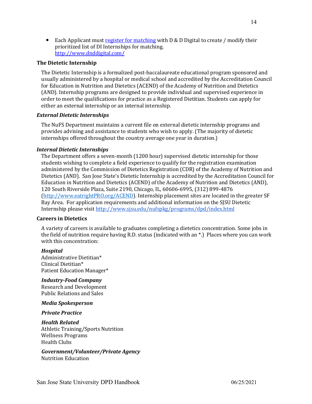<span id="page-13-0"></span>• Each Applicant must register for matching with D & D Digital to create / modify their prioritized list of DI Internships for matching. http://www.dnddigital.com/

#### **The Dietetic Internship**

The Dietetic Internship is a formalized post-baccalaureate educational program sponsored and usually administered by a hospital or medical school and accredited by the Accreditation Council for Education in Nutrition and Dietetics (ACEND) of the Academy of Nutrition and Dietetics (AND). Internship programs are designed to provide individual and supervised experience in order to meet the qualifications for practice as a Registered Dietitian. Students can apply for either an external internship or an internal internship.

#### *External Dietetic Internships*

The NuFS Department maintains a current file on external dietetic internship programs and provides advising and assistance to students who wish to apply. (The majority of dietetic internships offered throughout the country average one year in duration.)

#### *Internal Dietetic Internships*

The Department offers a seven-month (1200 hour) supervised dietetic internship for those students wishing to complete a field experience to qualify for the registration examination administered by the Commission of Dietetics Registration (CDR) of the Academy of Nutrition and Dietetics (AND). San Jose State's Dietetic Internship is accredited by the Accreditation Council for Education in Nutrition and Dietetics (ACEND) of the Academy of Nutrition and Dietetics (AND), 120 South Riverside Plaza, Suite 2190, Chicago, IL, 60606-6995, (312) 899-4876 (http://www.eatrightPRO.org/ACEND). Internship placement sites are located in the greater SF Internship please visit <u>http://www.sjsu.edu/nufspkg/programs/dpd/index.html</u> Bay Area. For application requirements and additional information on the SJSU Dietetic

#### **Careers in Dietetics**

A variety of careers is available to graduates completing a dietetics concentration. Some jobs in the field of nutrition require having R.D. status (indicated with an \*.) Places where you can work with this concentration:

#### *Hospital*

Administrative Dietitian\* Clinical Dietitian\* Patient Education Manager\*

### *Industry-Food Company*

 Research and Development Public Relations and Sales

#### *Media Spokesperson*

#### *Private Practice*

*Health Related* Athletic Training/Sports Nutrition Wellness Programs Health Clubs

 *Government/Volunteer/Private Agency* Nutrition Education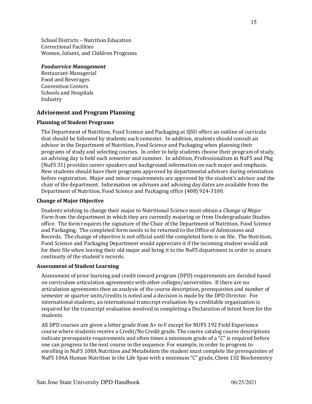<span id="page-14-0"></span> School Districts – Nutrition Education Women, Infants, and Children Programs Correctional Facilities

#### *Foodservice Management*

 Food and Beverages Schools and Hospitals Restaurant-Managerial Convention Centers Industry

## **Advisement and Program Planning**

#### **Planning of Student Programs**

 The Department of Nutrition, Food Science and Packaging at SJSU offers an outline of curricula that should be followed by students each semester. In addition, students should consult an advisor in the Department of Nutrition, Food Science and Packaging when planning their programs of study and selecting courses. In order to help students choose their program of study, an advising day is held each semester and summer. In addition, Professionalism in NuFS and Pkg (NuFS 31) provides career speakers and background information on each major and emphasis. New students should have their programs approved by departmental advisors during orientation before registration. Major and minor requirements are approved by the student's advisor and the chair of the department. Information on advisors and advising day dates are available from the Department of Nutrition, Food Science and Packaging office (408) 924-3100.

#### **Change of Major Objective**

  Students wishing to change their major to Nutritional Science must obtain a *Change of Major* Form from the department in which they are currently majoring or from Undergraduate Studies office. The form requires the signature of the Chair of the Department of Nutrition, Food Science and Packaging. The completed form needs to be returned to the Office of Admissions and Records. The change of objective is not official until the completed form is on file. The Nutrition, Food Science and Packaging Department would appreciate it if the incoming student would ask for their file when leaving their old major and bring it to the NuFS department in order to assure continuity of the student's records.

#### **Assessment of Student Learning**

 Assessment of prior learning and credit toward program (DPD) requirements are decided based on curriculum articulation agreements with other colleges/universities. If there are no articulation agreements then an analysis of the course description, prerequisites and number of semester or quarter units/credits is noted and a decision is made by the DPD Director. For international students, an international transcript evaluation by a creditable organization is required for the transcript evaluation involved in completing a Declaration of Intent form for the students.

All DPD courses are given a letter grade from A+ to F except for NUFS 192 Field Experience course where students receive a Credit/No Credit grade. The course catalog course descriptions indicate prerequisite requirements and often times a minimum grade of a "C" is required before one can progress to the next course in the sequence. For example, in order to progress to enrolling in NuFS 108A Nutrition and Metabolism the student must complete the prerequisites of NuFS 106A Human Nutrition in the Life Span with a minimum "C" grade, Chem 132 Biochemistry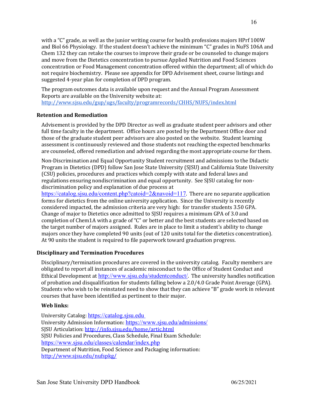<span id="page-15-0"></span> with a "C" grade, as well as the junior writing course for health professions majors HPrf 100W and Biol 66 Physiology. If the student doesn't achieve the minimum "C" grades in NuFS 106A and Chem 132 they can retake the courses to improve their grade or be counseled to change majors and move from the Dietetics concentration to pursue Applied Nutrition and Food Sciences concentration or Food Management concentration offered within the department; all of which do not require biochemistry. Please see appendix for DPD Advisement sheet, course listings and suggested 4-year plan for completion of DPD program.

The program outcomes data is available upon request and the Annual Program Assessment Reports are available on the University website at: http://www.sjsu.edu/gup/ugs/faculty/programrecords/CHHS/NUFS/index.html

### **Retention and Remediation**

 Advisement is provided by the DPD Director as well as graduate student peer advisors and other full time faculty in the department. Office hours are posted by the Department Office door and those of the graduate student peer advisors are also posted on the website. Student learning assessment is continuously reviewed and those students not reaching the expected benchmarks are counseled, offered remediation and advised regarding the most appropriate course for them.

 Non-Discrimination and Equal Opportunity Student recruitment and admissions to the Didactic (CSU) policies, procedures and practices which comply with state and federal laws and regulations ensuring nondiscrimination and equal opportunity. See SJSU catalog for non- discrimination policy and explanation of due process at Program in Dietetics (DPD) follow San Jose State University (SJSU) and California State University

 forms for dietetics from the online university application. Since the University is recently considered impacted, the admission criteria are very high: for transfer students 3.50 GPA. Change of major to Dietetics once admitted to SJSU requires a minimum GPA of 3.0 and completion of Chem1A with a grade of "C" or better and the best students are selected based on the target number of majors assigned. Rules are in place to limit a student's ability to change majors once they have completed 90 units (out of 120 units total for the dietetics concentration). At 90 units the student is required to file paperwork toward graduation progress. https://catalog.sjsu.edu/content.php?catoid= $2&$ navoid=117. There are no separate application

### **Disciplinary and Termination Procedures**

Disciplinary/termination procedures are covered in the university catalog. Faculty members are obligated to report all instances of academic misconduct to the Office of Student Conduct and Ethical Development at http://www.sjsu.edu/studentconduct/. The university handles notification of probation and disqualification for students falling below a 2.0/4.0 Grade Point Average (GPA). Students who wish to be reinstated need to show that they can achieve "B" grade work in relevant courses that have been identified as pertinent to their major.

#### **Web links:**

University Catalog: <u>https://catalog.sjsu.edu</u> University Admission Information: <u>https://www.sjsu.edu/admissions/</u> SJSU Policies and Procedures, Class Schedule, Final Exam Schedule: Department of Nutrition, Food Science and Packaging information: SJSU Articulation: http://info.sjsu.edu/home/artic.html https://www.sjsu.edu/classes/calendar/index.php http://www.sjsu.edu/nufspkg/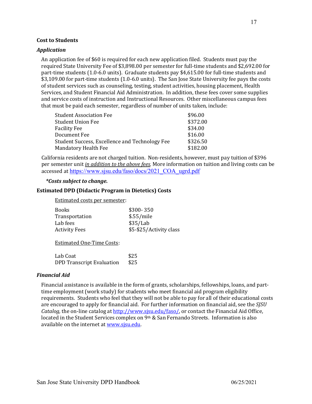#### <span id="page-16-0"></span> **Cost to Students**

#### *Application*

An application fee of \$60 is required for each new application filed. Students must pay the required State University Fee of \$3,898.00 per semester for full-time students and \$2,692.00 for part-time students (1.0-6.0 units). Graduate students pay \$4,615.00 for full-time students and \$3,109.00 for part-time students (1.0-6.0 units). The San Jose State University fee pays the costs of student services such as counseling, testing, student activities, housing placement, Health Services, and Student Financial Aid Administration. In addition, these fees cover some supplies and service costs of instruction and Instructional Resources. Other miscellaneous campus fees that must be paid each semester, regardless of number of units taken, include:

| <b>Student Association Fee</b>                 | \$96.00  |
|------------------------------------------------|----------|
| <b>Student Union Fee</b>                       | \$372.00 |
| <b>Facility Fee</b>                            | \$34.00  |
| Document Fee                                   | \$16.00  |
| Student Success, Excellence and Technology Fee | \$326.50 |
| <b>Mandatory Health Fee</b>                    | \$182.00 |

California residents are not charged tuition. Non-residents, however, must pay tuition of \$396 per semester unit *in addition to the above fees*. More information on tuition and living costs can be accessed at https://www.sjsu.edu/faso/docs/2021\_COA\_ugrd.pdf

#### *\*Costs subject to change.*

#### **Estimated DPD (Didactic Program in Dietetics) Costs**

 Estimated costs per semester:

| $$300-350$              |
|-------------------------|
| \$.55/mile              |
| \$35/Lab                |
| \$5-\$25/Activity class |
|                         |

Estimated One-Time Costs:

| Lab Coat                         | \$25 |
|----------------------------------|------|
| <b>DPD Transcript Evaluation</b> | \$25 |

#### *Financial Aid*

 Financial assistance is available in the form of grants, scholarships, fellowships, loans, and parttime employment (work study) for students who meet financial aid program eligibility requirements. Students who feel that they will not be able to pay for all of their educational costs are encouraged to apply for financial aid. For further information on financial aid, see the *SJSU* Catalog, the on-line catalog at http://www.sjsu.edu/faso/, or contact the Financial Aid Office, located in the Student Services complex on 9th & San Fernando Streets. Information is also available on the internet at www.sjsu.edu.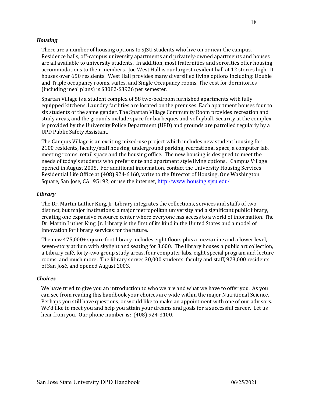#### <span id="page-17-0"></span>*Housing*

 There are a number of housing options to SJSU students who live on or near the campus. Residence halls, off-campus university apartments and privately-owned apartments and houses are all available to university students. In addition, most fraternities and sororities offer housing accommodations to their members. Joe West Hall is our largest resident hall at 12 stories high. It houses over 650 residents. West Hall provides many diversified living options including: Double and Triple occupancy rooms, suites, and Single Occupancy rooms. The cost for dormitories (including meal plans) is \$3082-\$3926 per semester.

 Spartan Village is a student complex of 58 two-bedroom furnished apartments with fully equipped kitchens. Laundry facilities are located on the premises. Each apartment houses four to six students of the same gender. The Spartan Village Community Room provides recreation and study areas, and the grounds include space for barbeques and volleyball. Security at the complex is provided by the University Police Department (UPD) and grounds are patrolled regularly by a UPD Public Safety Assistant.

The Campus Village is an exciting mixed-use project which includes new student housing for 2100 residents, faculty/staff housing, underground parking, recreational space, a computer lab, meeting rooms, retail space and the housing office. The new housing is designed to meet the needs of today's students who prefer suite and apartment style living options. Campus Village opened in August 2005. For additional information, contact the University Housing Services Residential Life Office at (408) 924-6160, write to the Director of Housing, One Washington Square, San Jose, CA 95192, or use the internet, <u>http://www.housing.sjsu.edu/</u>

#### *Library*

 The Dr. Martin Luther King, Jr. Library integrates the collections, services and staffs of two distinct, but major institutions: a major metropolitan university and a significant public library, creating one expansive resource center where everyone has access to a world of information. The Dr. Martin Luther King, Jr. Library is the first of its kind in the United States and a model of innovation for library services for the future.

The new 475,000+ square foot library includes eight floors plus a mezzanine and a lower level, seven-story atrium with skylight and seating for 3,600. The library houses a public art collection, a Library café, forty-two group study areas, four computer labs, eight special program and lecture rooms, and much more. The library serves 30,000 students, faculty and staff, 923,000 residents of San José, and opened August 2003.

#### *Choices*

 We have tried to give you an introduction to who we are and what we have to offer you. As you can see from reading this handbook your choices are wide within the major Nutritional Science. Perhaps you still have questions, or would like to make an appointment with one of our advisors. We'd like to meet you and help you attain your dreams and goals for a successful career. Let us hear from you. Our phone number is: (408) 924-3100.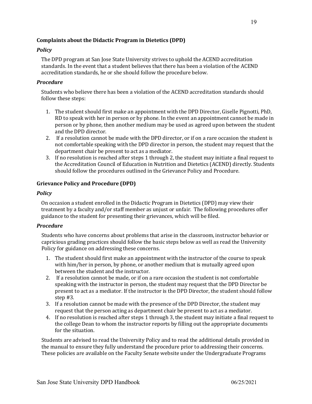#### <span id="page-18-0"></span>Complaints about the Didactic Program in Dietetics (DPD)

#### *Policy*

The DPD program at San Jose State University strives to uphold the ACEND accreditation standards. In the event that a student believes that there has been a violation of the ACEND accreditation standards, he or she should follow the procedure below.

#### *Procedure*

 Students who believe there has been a violation of the ACEND accreditation standards should follow these steps:

- 1. The student should first make an appointment with the DPD Director, Giselle Pignotti, PhD, RD to speak with her in person or by phone. In the event an appointment cannot be made in person or by phone, then another medium may be used as agreed upon between the student and the DPD director.
- 2. If a resolution cannot be made with the DPD director, or if on a rare occasion the student is not comfortable speaking with the DPD director in person, the student may request that the department chair be present to act as a mediator.
- 3. If no resolution is reached after steps 1 through 2, the student may initiate a final request to the Accreditation Council of Education in Nutrition and Dietetics (ACEND) directly. Students should follow the procedures outlined in the Grievance Policy and Procedure.

#### **Grievance Policy and Procedure (DPD)**

#### *Policy*

 On occasion a student enrolled in the Didactic Program in Dietetics (DPD) may view their treatment by a faculty and/or staff member as unjust or unfair. The following procedures offer guidance to the student for presenting their grievances, which will be filed.

#### *Procedure*

Students who have concerns about problems that arise in the classroom, instructor behavior or capricious grading practices should follow the basic steps below as well as read the University Policy for guidance on addressing these concerns.

- 1. The student should first make an appointment with the instructor of the course to speak with him/her in person, by phone, or another medium that is mutually agreed upon between the student and the instructor.
- 2. If a resolution cannot be made, or if on a rare occasion the student is not comfortable speaking with the instructor in person, the student may request that the DPD Director be present to act as a mediator. If the instructor is the DPD Director, the student should follow step #3.
- 3. If a resolution cannot be made with the presence of the DPD Director, the student may request that the person acting as department chair be present to act as a mediator.
- 4. If no resolution is reached after steps 1 through 3, the student may initiate a final request to the college Dean to whom the instructor reports by filling out the appropriate documents for the situation.

 Students are advised to read the University Policy and to read the additional details provided in the manual to ensure they fully understand the procedure prior to addressing their concerns. These policies are available on the Faculty Senate website under the Undergraduate Programs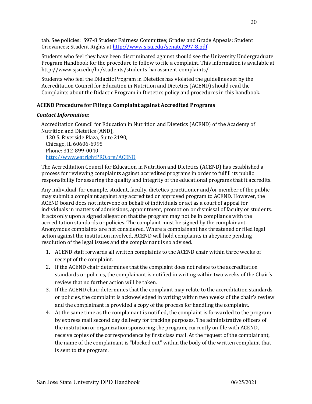<span id="page-19-0"></span> tab. See policies: S97-8 Student Fairness Committee; Grades and Grade Appeals: Student Grievances; Student Rights at http://www.sjsu.edu/senate/S97-8.pdf

 Students who feel they have been discriminated against should see the University Undergraduate Program Handbook for the procedure to follow to file a complaint. This information is available at http://www.sjsu.edu/hr/students/students\_harassment\_complaints/

 Students who feel the Didactic Program in Dietetics has violated the guidelines set by the Accreditation Council for Education in Nutrition and Dietetics (ACEND) should read the Complaints about the Didactic Program in Dietetics policy and procedures in this handbook.

### **ACEND Procedure for Filing a Complaint against Accredited Programs**

#### *Contact Information:*

Accreditation Council for Education in Nutrition and Dietetics (ACEND) of the Academy of Nutrition and Dietetics (AND), 

 120 S. Riverside Plaza, Suite 2190, Chicago, IL 60606-6995 Phone: 312-899-0040 http://www.eatrightPRO.org/ACEND

 The Accreditation Council for Education in Nutrition and Dietetics (ACEND) has established a process for reviewing complaints against accredited programs in order to fulfill its public responsibility for assuring the quality and integrity of the educational programs that it accredits.

 Any individual, for example, student, faculty, dietetics practitioner and/or member of the public may submit a complaint against any accredited or approved program to ACEND. However, the ACEND board does not intervene on behalf of individuals or act as a court of appeal for individuals in matters of admissions, appointment, promotion or dismissal of faculty or students. It acts only upon a signed allegation that the program may not be in compliance with the accreditation standards or policies. The complaint must be signed by the complainant. Anonymous complaints are not considered. Where a complainant has threatened or filed legal action against the institution involved, ACEND will hold complaints in abeyance pending resolution of the legal issues and the complainant is so advised.

- 1. ACEND staff forwards all written complaints to the ACEND chair within three weeks of receipt of the complaint.
- 2. If the ACEND chair determines that the complaint does not relate to the accreditation standards or policies, the complainant is notified in writing within two weeks of the Chair's review that no further action will be taken.
- 3. If the ACEND chair determines that the complaint may relate to the accreditation standards or policies, the complaint is acknowledged in writing within two weeks of the chair's review and the complainant is provided a copy of the process for handling the complaint.
- 4. At the same time as the complainant is notified, the complaint is forwarded to the program by express mail second day delivery for tracking purposes. The administrative officers of the institution or organization sponsoring the program, currently on file with ACEND, receive copies of the correspondence by first class mail. At the request of the complainant, the name of the complainant is "blocked out" within the body of the written complaint that is sent to the program.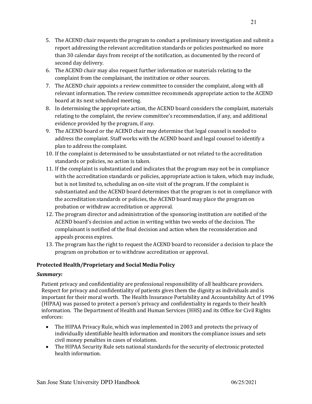- <span id="page-20-0"></span>5. The ACEND chair requests the program to conduct a preliminary investigation and submit a report addressing the relevant accreditation standards or policies postmarked no more than 30 calendar days from receipt of the notification, as documented by the record of second day delivery.
- 6. The ACEND chair may also request further information or materials relating to the complaint from the complainant, the institution or other sources.
- 7. The ACEND chair appoints a review committee to consider the complaint, along with all relevant information. The review committee recommends appropriate action to the ACEND board at its next scheduled meeting.
- 8. In determining the appropriate action, the ACEND board considers the complaint, materials relating to the complaint, the review committee's recommendation, if any, and additional evidence provided by the program, if any.
- 9. The ACEND board or the ACEND chair may determine that legal counsel is needed to address the complaint. Staff works with the ACEND board and legal counsel to identify a plan to address the complaint.
- 10. If the complaint is determined to be unsubstantiated or not related to the accreditation standards or policies, no action is taken.
- 11. If the complaint is substantiated and indicates that the program may not be in compliance with the accreditation standards or policies, appropriate action is taken, which may include, but is not limited to, scheduling an on-site visit of the program. If the complaint is substantiated and the ACEND board determines that the program is not in compliance with the accreditation standards or policies, the ACEND board may place the program on probation or withdraw accreditation or approval.
- 12. The program director and administration of the sponsoring institution are notified of the ACEND board's decision and action in writing within two weeks of the decision. The complainant is notified of the final decision and action when the reconsideration and appeals process expires.
- 13. The program has the right to request the ACEND board to reconsider a decision to place the program on probation or to withdraw accreditation or approval.

## **Protected Health/Proprietary and Social Media Policy**

### *Summary:*

Patient privacy and confidentiality are professional responsibility of all healthcare providers. Respect for privacy and confidentiality of patients gives them the dignity as individuals and is important for their moral worth. The Health Insurance Portability and Accountability Act of 1996 (HIPAA) was passed to protect a person's privacy and confidentiality in regards to their health information. The Department of Health and Human Services (HHS) and its Office for Civil Rights enforces:

- The HIPAA Privacy Rule, which was implemented in 2003 and protects the privacy of individually identifiable health information and monitors the compliance issues and sets civil money penalties in cases of violations.
- The HIPAA Security Rule sets national standards for the security of electronic protected health information.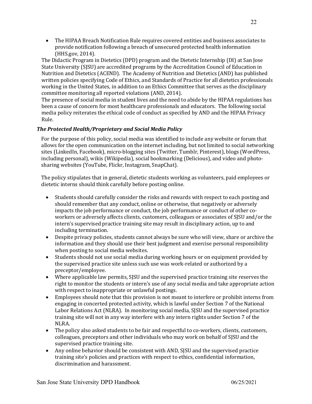<span id="page-21-0"></span> • The HIPAA Breach Notification Rule requires covered entities and business associates to provide notification following a breach of unsecured protected health information (HHS.gov, 2014).

The Didactic Program in Dietetics (DPD) program and the Dietetic Internship (DI) at San Jose State University (SJSU) are accredited programs by the Accreditation Council of Education in Nutrition and Dietetics (ACEND). The Academy of Nutrition and Dietetics (AND) has published written policies specifying Code of Ethics, and Standards of Practice for all dietetics professionals working in the United States, in addition to an Ethics Committee that serves as the disciplinary committee monitoring all reported violations (AND, 2014).

 The presence of social media in student lives and the need to abide by the HIPAA regulations has been a cause of concern for most healthcare professionals and educators. The following social media policy reiterates the ethical code of conduct as specified by AND and the HIPAA Privacy Rule.

## *The Protected Health/Proprietary and Social Media Policy*

 For the purpose of this policy, social media was identified to include any website or forum that allows for the open communication on the internet including, but not limited to social networking sites (LinkedIn, Facebook), micro-blogging sites (Twitter, Tumblr, Pinterest), blogs (WordPress, including personal), wikis (Wikipedia), social bookmarking (Delicious), and video and photosharing websites (YouTube, Flickr, Instagram, SnapChat).

The policy stipulates that in general, dietetic students working as volunteers, paid employees or dietetic interns should think carefully before posting online.

- Students should carefully consider the risks and rewards with respect to each posting and should remember that any conduct, online or otherwise, that negatively or adversely impacts the job performance or conduct, the job performance or conduct of other co- workers or adversely affects clients, customers, colleagues or associates of SJSU and/or the intern's supervised practice training site may result in disciplinary action, up to and including termination.
- Despite privacy policies, students cannot always be sure who will view, share or archive the information and they should use their best judgment and exercise personal responsibility when posting to social media websites.
- Students should not use social media during working hours or on equipment provided by the supervised practice site unless such use was work-related or authorized by a preceptor/employee.
- Where applicable law permits, SJSU and the supervised practice training site reserves the right to monitor the students or intern's use of any social media and take appropriate action with respect to inappropriate or unlawful postings.
- Employees should note that this provision is not meant to interfere or prohibit interns from engaging in concerted protected activity, which is lawful under Section 7 of the National Labor Relations Act (NLRA). In monitoring social media, SJSU and the supervised practice training site will not in any way interfere with any intern rights under Section 7 of the NLRA.
- The policy also asked students to be fair and respectful to co-workers, clients, customers, colleagues, preceptors and other individuals who may work on behalf of SJSU and the supervised practice training site.
- Any online behavior should be consistent with AND, SJSU and the supervised practice training site's policies and practices with respect to ethics, confidential information, discrimination and harassment.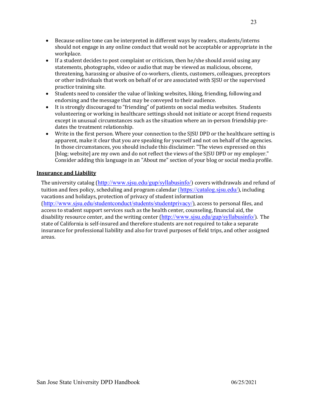- <span id="page-22-0"></span> should not engage in any online conduct that would not be acceptable or appropriate in the • Because online tone can be interpreted in different ways by readers, students/interns workplace.
- If a student decides to post complaint or criticism, then he/she should avoid using any statements, photographs, video or audio that may be viewed as malicious, obscene, threatening, harassing or abusive of co-workers, clients, customers, colleagues, preceptors or other individuals that work on behalf of or are associated with SJSU or the supervised practice training site.
- Students need to consider the value of linking websites, liking, friending, following and endorsing and the message that may be conveyed to their audience.
- It is strongly discouraged to "friending" of patients on social media websites. Students volunteering or working in healthcare settings should not initiate or accept friend requests except in unusual circumstances such as the situation where an in-person friendship predates the treatment relationship.
- Write in the first person. Where your connection to the SJSU DPD or the healthcare setting is apparent, make it clear that you are speaking for yourself and not on behalf of the agencies. In those circumstances, you should include this disclaimer: "The views expressed on this Consider adding this language in an "About me" section of your blog or social media profile. [blog; website] are my own and do not reflect the views of the SJSU DPD or my employer."

### **Insurance and Liability**

The university catalog (http://www.sjsu.edu/gup/syllabusinfo/) covers withdrawals and refund of tuition and fees policy, scheduling and program calendar (<u>https://catalog.sjsu.edu/</u>), including vacations and holidays, protection of privacy of student information (http://www.sjsu.edu/studentconduct/students/studentprivacy/), access to personal files, and access to student support services such as the health center, counseling, financial aid, the disability resource center, and the writing center (http://www.sjsu.edu/gup/syllabusinfo/). The state of California is self-insured and therefore students are not required to take a separate insurance for professional liability and also for travel purposes of field trips, and other assigned areas.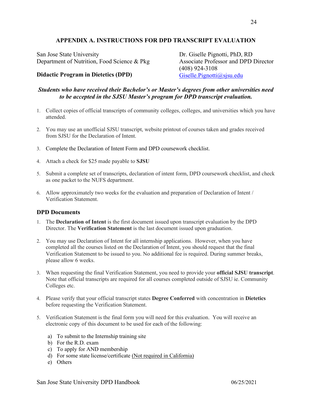## **APPENDIX A. INSTRUCTIONS FOR DPD TRANSCRIPT EVALUATION**

<span id="page-23-0"></span>San Jose State University Department of Nutrition, Food Science & Pkg Associate Professor and DPD Director San Jose State University Dr. Giselle Pignotti, PhD, RD

**Didactic Program in Dietetics (DPD)** Giselle.Pignotti@sjsu.edu

## *Students who have received their Bachelor's or Master's degrees from other universities need to be accepted in the SJSU Master's program for DPD transcript evaluation.*

- 1. Collect copies of official transcripts of community colleges, colleges, and universities which you have attended.
- 2. You may use an unofficial SJSU transcript, website printout of courses taken and grades received from SJSU for the Declaration of Intent.
- 3. Complete the Declaration of Intent Form and DPD coursework checklist.
- 4. Attach a check for \$25 made payable to **SJSU**
- 5. Submit a complete set of transcripts, declaration of intent form, DPD coursework checklist, and check as one packet to the NUFS department.
- 6. Allow approximately two weeks for the evaluation and preparation of Declaration of Intent / Verification Statement.

#### **DPD Documents**

- 1. The **Declaration of Intent** is the first document issued upon transcript evaluation by the DPD Director. The **Verification Statement** is the last document issued upon graduation.
- 2. You may use Declaration of Intent for all internship applications. However, when you have completed all the courses listed on the Declaration of Intent, you should request that the final Verification Statement to be issued to you. No additional fee is required. During summer breaks, please allow 6 weeks.
- 3. When requesting the final Verification Statement, you need to provide your **official SJSU transcript**. Note that official transcripts are required for all courses completed outside of SJSU ie. Community Colleges etc.
- 4. Please verify that your official transcript states **Degree Conferred** with concentration in **Dietetics** before requesting the Verification Statement.
- 5. Verification Statement is the final form you will need for this evaluation. You will receive an electronic copy of this document to be used for each of the following:
	- a) To submit to the Internship training site
	- b) For the R.D. exam
	- c) To apply for AND membership
	- d) For some state license/certificate (Not required in California)
	- e) Others

Associate Professor and DPD Director

(408) 924-3108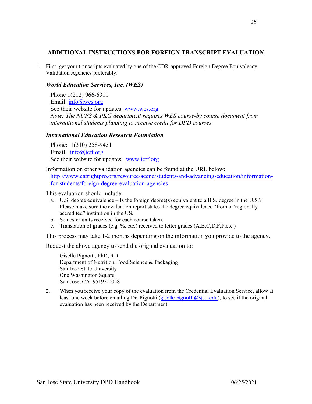#### **ADDITIONAL INSTRUCTIONS FOR FOREIGN TRANSCRIPT EVALUATION**

 1. First, get your transcripts evaluated by one of the CDR-approved Foreign Degree Equivalency Validation Agencies preferably:

#### *World Education Services, Inc. (WES)*

 Phone 1(212) 966-6311 Email: *info@wes.org* See their website for updates: www.wes.org  *Note: The NUFS & PKG department requires WES course-by course document from international students planning to receive credit for DPD courses*

#### *International Education Research Foundation*

 Phone: 1(310) 258-9451 Email: info@ieft.org See their website for updates: www.ierf.org

 Information on other validation agencies can be found at the URL below: http://www.eatrightpro.org/resource/acend/students-and-advancing-education/informationfor-students/foreign-degree-evaluation-agencies

This evaluation should include:

- a. U.S. degree equivalence Is the foreign degree(s) equivalent to a B.S. degree in the U.S.? Please make sure the evaluation report states the degree equivalence "from a "regionally accredited" institution in the US.
- b. Semester units received for each course taken.
- c. Translation of grades (e.g. %, etc.) received to letter grades  $(A, B, C, D, F, P, etc.)$

This process may take 1-2 months depending on the information you provide to the agency.

Request the above agency to send the original evaluation to:

 Giselle Pignotti, PhD, RD Department of Nutrition, Food Science & Packaging San Jose State University San Jose, CA 95192-0058 One Washington Square

 2. When you receive your copy of the evaluation from the Credential Evaluation Service, allow at least one week before emailing Dr. Pignotti (*giselle.pignotti@sjsu.edu*), to see if the original evaluation has been received by the Department.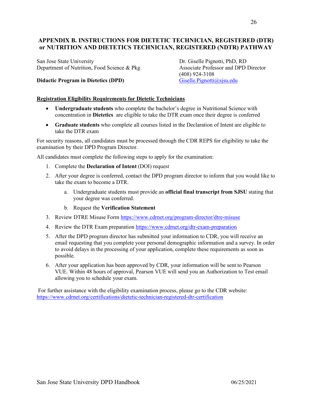## <span id="page-25-0"></span> **APPENDIX B. INSTRUCTIONS FOR DIETETIC TECHNICIAN, REGISTERED (DTR) or NUTRITION AND DIETETICS TECHNICIAN, REGISTERED (NDTR) PATHWAY**

San Jose State University Department of Nutrition, Food Science & Pkg Associate Professor and DPD Director San Jose State University Dr. Giselle Pignotti, PhD, RD

#### **Didactic Program in Dietetics (DPD)** Giselle.Pignotti@sjsu.edu

**Associate Professor and DPD Director** (408) 924-3108

#### **Registration Eligibility Requirements for Dietetic Technicians**

- • **Undergraduate students** who complete the bachelor's degree in Nutritional Science with concentration in **Dietetics** are eligible to take the DTR exam once their degree is conferred
- • **Graduate students** who complete all courses listed in the Declaration of Intent are eligible to take the DTR exam

 For security reasons, all candidates must be processed through the CDR REPS for eligibility to take the examination by their DPD Program Director.

All candidates must complete the following steps to apply for the examination:

- 1. Complete the **Declaration of Intent** (DOI) request
- 2. After your degree is conferred, contact the DPD program director to inform that you would like to take the exam to become a DTR.
	- a. Undergraduate students must provide an **official final transcript from SJSU** stating that your degree was conferred.
	- b. Request the **Verification Statement**
- 3. Review DTRE Misuse Form https://www.cdrnet.org/program-director/dtre-misuse
- 4. Review the DTR Exam preparation https://www.cdrnet.org/dtr-exam-preparation
- 5. After the DPD program director has submitted your information to CDR, you will receive an email requesting that you complete your personal demographic information and a survey. In order to avoid delays in the processing of your application, complete these requirements as soon as possible.
- 6. After your application has been approved by CDR, your information will be sent to Pearson VUE. Within 48 hours of approval, Pearson VUE will send you an Authorization to Test email allowing you to schedule your exam.

 For further assistance with the eligibility examination process, please go to the CDR website: https://www.cdrnet.org/certifications/dietetic-technician-registered-dtr-certification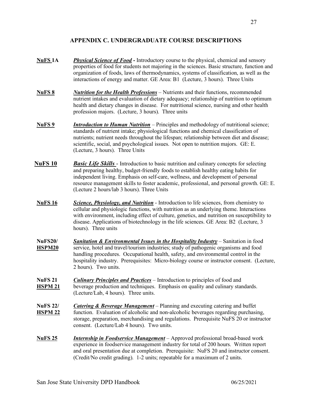## **APPENDIX C. UNDERGRADUATE COURSE DESCRIPTIONS**

- <span id="page-26-0"></span> **NuFS 1A** *Physical Science of Food* **-** Introductory course to the physical, chemical and sensory properties of food for students not majoring in the sciences. Basic structure, function and organization of foods, laws of thermodynamics, systems of classification, as well as the interactions of energy and matter. GE Area: B1 (Lecture, 3 hours). Three Units
- **NuFS 8** *Nutrition for the Health Professions* Nutrients and their functions, recommended nutrient intakes and evaluation of dietary adequacy; relationship of nutrition to optimum health and dietary changes in disease. For nutritional science, nursing and other health profession majors. (Lecture, 3 hours). Three units
- **NuFS** 9 *Introduction to Human Nutrition* Principles and methodology of nutritional science; standards of nutrient intake; physiological functions and chemical classification of nutrients; nutrient needs throughout the lifespan; relationship between diet and disease; scientific, social, and psychological issues. Not open to nutrition majors. GE: E. (Lecture, 3 hours). Three Units
- **NuFS 10** *Basic Life Skills* Introduction to basic nutrition and culinary concepts for selecting and preparing healthy, budget-friendly foods to establish healthy eating habits for independent living. Emphasis on self-care, wellness, and development of personal resource management skills to foster academic, professional, and personal growth. GE: E. (Lecture 2 hours/lab 3 hours). Three Units
- **NuFS 16** *Science, Physiology, and Nutrition* Introduction to life sciences, from chemistry to cellular and physiologic functions, with nutrition as an underlying theme. Interactions with environment, including effect of culture, genetics, and nutrition on susceptibility to disease. Applications of biotechnology in the life sciences. GE Area: B2 (Lecture, 3 hours). Three units
- **NuFS20/** *Sanitation & Environmental Issues in the Hospitality Industry* Sanitation in food **HSPM20** service, hotel and travel/tourism industries; study of pathogenic organisms and food handling procedures. Occupational health, safety, and environmental control in the hospitality industry. Prerequisites: Micro-biology course or instructor consent. (Lecture, 2 hours). Two units.
- **NuFS 21 HSPM 21** beverage production and techniques. Emphasis on quality and culinary standards. (Lecture/Lab, 4 hours). Three units. **Culinary Principles and Practices** – Introduction to principles of food and
- **NuFS 22/** *Catering & Beverage Management* Planning and executing catering and buffet **HSPM 22** function. Evaluation of alcoholic and non-alcoholic beverages regarding purchasing, storage, preparation, merchandising and regulations. Prerequisite NuFS 20 or instructor consent. (Lecture/Lab 4 hours). Two units.
- **NuFS 25** *Internship in Foodservice Management* Approved professional broad-based work experience in foodservice management industry for total of 200 hours. Written report and oral presentation due at completion. Prerequisite: NuFS 20 and instructor consent. (Credit/No credit grading). 1-2 units; repeatable for a maximum of 2 units.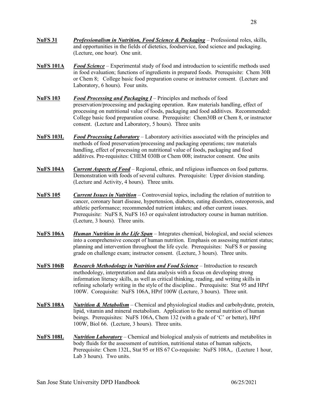- **NuFS 31** *Professionalism in Nutrition, Food Science & Packaging* Professional roles, skills, and opportunities in the fields of dietetics, foodservice, food science and packaging. (Lecture, one hour). One unit.
- **NuFS 101A** *Food Science* Experimental study of food and introduction to scientific methods used in food evaluation; functions of ingredients in prepared foods. Prerequisite: Chem 30B or Chem 8; College basic food preparation course or instructor consent. (Lecture and Laboratory, 6 hours). Four units.
- **NuFS 103** *Food Processing and Packaging I* Principles and methods of food preservation/processing and packaging operation. Raw materials handling, effect of processing on nutritional value of foods, packaging and food additives. Recommended: College basic food preparation course. Prerequisite: Chem30B or Chem 8, or instructor consent. (Lecture and Laboratory, 5 hours). Three units
- **NuFS 103L** *Food Processing Laboratory* Laboratory activities associated with the principles and methods of food preservation/processing and packaging operations; raw materials handling, effect of processing on nutritional value of foods, packaging and food additives. Pre-requisites: CHEM 030B or Chem 008; instructor consent. One units
- **NuFS 104A** *Current Aspects of Food* Regional, ethnic, and religious influences on food patterns. Demonstration with foods of several cultures. Prerequisite: Upper division standing. (Lecture and Activity, 4 hours). Three units.
- **NuFS 105** *Current Issues in Nutrition* Controversial topics, including the relation of nutrition to cancer, coronary heart disease, hypertension, diabetes, eating disorders, osteoporosis, and athletic performance; recommended nutrient intakes; and other current issues. Prerequisite: NuFS 8, NuFS 163 or equivalent introductory course in human nutrition. (Lecture, 3 hours). Three units.
- **NuFS 106A** *Human Nutrition in the Life Span* Integrates chemical, biological, and social sciences into a comprehensive concept of human nutrition. Emphasis on assessing nutrient status; planning and intervention throughout the life cycle. Prerequisites: NuFS 8 or passing grade on challenge exam; instructor consent. (Lecture, 3 hours). Three units.
- **NuFS 106B** *Research Methodology in Nutrition and Food Science* Introduction to research methodology, interpretation and data analysis with a focus on developing strong information literacy skills, as well as critical thinking, reading, and writing skills in refining scholarly writing in the style of the discipline.. Prerequisite: Stat 95 and HPrf 100W. Corequisite: NuFS 106A, HPrf 100W (Lecture, 3 hours). Three unit.
- **NuFS 108A** *Nutrition & Metabolism* Chemical and physiological studies and carbohydrate, protein, lipid, vitamin and mineral metabolism. Application to the normal nutrition of human beings. Prerequisites: NuFS 106A, Chem 132 (with a grade of 'C' or better), HPrf 100W, Biol 66. (Lecture, 3 hours). Three units.
- **NuFS 108L** *Nutrition Laboratory* Chemical and biological analysis of nutrients and metabolites in body fluids for the assessment of nutrition, nutritional status of human subjects, Prerequisite: Chem 132L, Stat 95 or HS 67 Co-requisite: NuFS 108A,. (Lecture 1 hour, Lab 3 hours). Two units.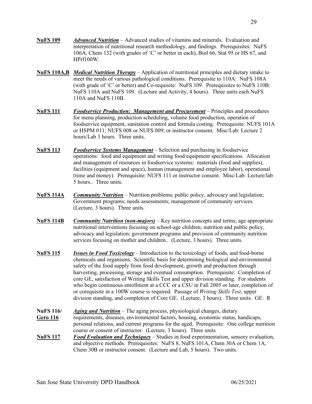- **NuFS 109** *Advanced Nutrition* Advanced studies of vitamins and minerals. Evaluation and interpretation of nutritional research methodology, and findings. Prerequisites: NuFS 106A, Chem 132 (with grades of 'C' or better in each), Biol 66, Stat 95 or HS 67, and HPrf100W.
- **NuFS 110A,B** *Medical Nutrition Therapy* Application of nutritional principles and dietary intake to meet the needs of various pathological conditions. Prerequisite to 110A: NuFS 108A (with grade of 'C' or better) and Co-requisite: NuFS 109. Prerequisites to NuFS 110B: NuFS 110A and NuFS 109. (Lecture and Activity, 4 hours). Three units each NuFS 110A and NuFS 110B.
- **NuFS 111** *Foodservice Production: Management and Procurement* Principles and procedures for menu planning, production scheduling, volume food production, operation of foodservice equipment, sanitation control and formula costing. Prerequisite: NUFS 101A or HSPM 011; NUFS 008 or NUFS 009; or instructor consent. Misc/Lab: Lecture 2 hours/Lab 3 hours. Three units.
- **NuFS 113** *Foodservice Systems Management* Selection and purchasing in foodservice operations: food and equipment and writing food/equipment specifications. Allocation and management of resources in foodservice systems: materials (food and supplies), facilities (equipment and space), human (management and employee labor), operational (time and money). Prerequisite: NUFS 111 or instructor consent. Misc/Lab: Lecture/lab 5 hours.. Three units.
- **NuFS 114A** *Community Nutrition* Nutrition problems; public policy, advocacy and legislation; Government programs; needs assessments; management of community services. (Lecture, 3 hours). Three units.
- **NuFS 114B** *Community Nutrition (non-majors)* Key nutrition concepts and terms; age appropriate nutritional interventions focusing on school-age children; nutrition and public policy, advocacy and legislation; government programs and provision of community nutrition services focusing on mother and children.. (Lecture, 3 hours). Three units.
- **NuFS 115** *Issues in Food Toxicology* Introduction to the toxicology of foods, and food-borne chemicals and organisms. Scientific basis for determining biological and environmental safety of the food supply from food development, growth and production through harvesting, processing, storage and eventual consumption. Prerequisite: Completion of core GE, satisfaction of Writing Skills Test and upper division standing. For students who begin continuous enrollment at a CCC or a CSU in Fall 2005 or later, completion of or corequisite in a 100W course is required. Passage of *Writing Skills Test*, upper division standing, and completion of Core GE. (Lecture, 3 hours). Three units. GE: R
- **NuFS 116/** *Aging and Nutrition* The aging process, physiological changes, dietary Gero 116 requirements, diseases, environmental factors, housing, economic status, handicaps, personal relations, and current programs for the aged. Prerequisite: One college nutrition course or consent of instructor. (Lecture, 3 hours). Three units **NuFS 117** *Food Evaluation and Techniques* – Studies in food experimentation, sensory evaluation, and objective methods. Prerequisites: NuFS 8, NuFS 101A, Chem 30A or Chem 1A,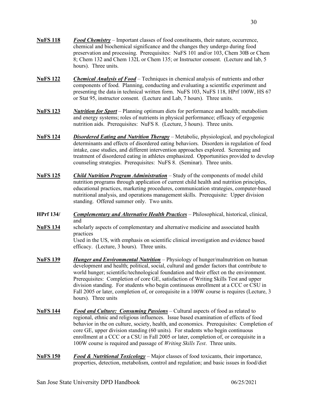- **NuFS 118** *Food Chemistry* Important classes of food constituents, their nature, occurrence, chemical and biochemical significance and the changes they undergo during food preservation and processing. Prerequisites: NuFS 101 and/or 103, Chem 30B or Chem 8; Chem 132 and Chem 132L or Chem 135; or Instructor consent. (Lecture and lab, 5 hours). Three units.
- **NuFS 122** *Chemical Analysis of Food* Techniques in chemical analysis of nutrients and other components of food. Planning, conducting and evaluating a scientific experiment and presenting the data in technical written form. NuFS 103, NuFS 118, HPrf 100W, HS 67 or Stat 95, instructor consent. (Lecture and Lab, 7 hours). Three units.
- **NuFS 123** *Nutrition for Sport* Planning optimum diets for performance and health; metabolism and energy systems; roles of nutrients in physical performance; efficacy of ergogenic nutrition aids. Prerequisites: NuFS 8. (Lecture, 3 hours). Three units.
- **NuFS 124** *Disordered Eating and Nutrition Therapy* Metabolic, physiological, and psychological determinants and effects of disordered eating behaviors. Disorders in regulation of food intake, case studies, and different intervention approaches explored. Screening and treatment of disordered eating in athletes emphasized. Opportunities provided to develop counseling strategies. Prerequisites: NuFS 8. (Seminar). Three units.
- **NuFS 125** *Child Nutrition Program Administration* Study of the components of model child nutrition programs through application of current child health and nutrition principles, educational practices, marketing procedures, communication strategies, computer-based nutritional analysis, and operations management skills. Prerequisite: Upper division standing. Offered summer only. Two units.
- **HPrf 134/** *Complementary and Alternative Health Practices* Philosophical, historical, clinical, and
- **NuFS 134** scholarly aspects of complementary and alternative medicine and associated health Used in the US, with emphasis on scientific clinical investigation and evidence based efficacy. (Lecture, 3 hours). Three units. practices
- **NuFS** 139 development and health; political, social, cultural and gender factors that contribute to world hunger; scientific/technological foundation and their effect on the environment. Prerequisites: Completion of core GE, satisfaction of Writing Skills Test and upper division standing. For students who begin continuous enrollment at a CCC or CSU in Fall 2005 or later, completion of, or corequisite in a 100W course is requires (Lecture, 3 hours). Three units *Hunger and Environmental Nutrition* – Physiology of hunger/malnutrition on human
- **NuFS 144** *Food and Culture: Consuming Passions* Cultural aspects of food as related to regional, ethnic and religious influences. Issue based examination of effects of food behavior in the on culture, society, health, and economics. Prerequisites: Completion of core GE, upper division standing (60 units). For students who begin continuous enrollment at a CCC or a CSU in Fall 2005 or later, completion of, or corequisite in a 100W course is required and passage of *Writing Skills Test*. Three units.
- **NuFS 150** *Food & Nutritional Toxicology* Major classes of food toxicants, their importance, properties, detection, metabolism, control and regulation; and basic issues in food/diet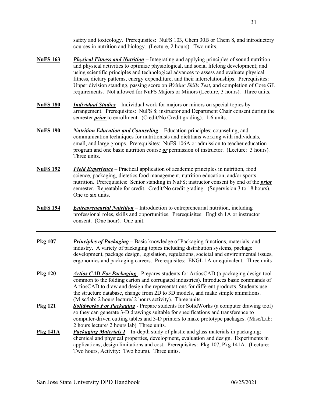safety and toxicology. Prerequisites: NuFS 103, Chem 30B or Chem 8, and introductory courses in nutrition and biology. (Lecture, 2 hours). Two units.

- **NuFS 163** *Physical Fitness and Nutrition* Integrating and applying principles of sound nutrition and physical activities to optimize physiological, and social lifelong development; and using scientific principles and technological advances to assess and evaluate physical fitness, dietary patterns, energy expenditure, and their interrelationships. Prerequisites: Upper division standing, passing score on *Writing Skills Test*, and completion of Core GE requirements. Not allowed for NuFS Majors or Minors (Lecture, 3 hours). Three units.
- **NuFS 180** *Individual Studies* Individual work for majors or minors on special topics by arrangement. Prerequisites: NuFS 8; instructor and Department Chair consent during the semester *prior* to enrollment. (Credit/No Credit grading). 1-6 units.
- **NuFS 190**  communication techniques for nutritionists and dietitians working with individuals, small, and large groups. Prerequisites: NuFS 106A or admission to teacher education program and one basic nutrition course *or* permission of instructor. (Lecture: 3 hours). Three units. *Nutrition Education and Counseling* – Education principles; counseling; and
- **NuFS 192** *Field Experience* Practical application of academic principles in nutrition, food science, packaging, dietetics food management, nutrition education, and/or sports nutrition. Prerequisites: Senior standing in NuFS; instructor consent by end of the *prior* semester. Repeatable for credit. Credit/No credit grading. (Supervision 3 to 18 hours). One to six units.
- **NuFS 194** *Entrepreneurial Nutrition* Introduction to entrepreneurial nutrition, including professional roles, skills and opportunities. Prerequisites: English 1A or instructor consent. (One hour). One unit.
- **Pkg 107** *Principles of Packaging* Basic knowledge of Packaging functions, materials, and industry. A variety of packaging topics including distribution systems, package development, package design, legislation, regulations, societal and environmental issues, ergonomics and packaging careers. Prerequisites: ENGL 1A or equivalent. Three units
- **Pkg 120** *Artios CAD For Packaging* Prepares students for ArtiosCAD (a packaging design tool common to the folding carton and corrugated industries). Introduces basic commands of ArtiosCAD to draw and design the representations for different products. Students use the structure database, change from 2D to 3D models, and make simple animations. (Misc/lab: 2 hours lecture/ 2 hours activity). Three units.
- **Pkg 121** *Solidworks For Packaging* Prepare students for SolidWorks (a computer drawing tool) so they can generate 3-D drawings suitable for specifications and transference to computer-driven cutting tables and 3-D printers to make prototype packages. (Misc/Lab: 2 hours lecture/ 2 hours lab) Three units.
- **Pkg 141A** *Packaging Materials I* In-depth study of plastic and glass materials in packaging; chemical and physical properties, development, evaluation and design. Experiments in applications, design limitations and cost. Prerequisites: Pkg 107, Pkg 141A. (Lecture: Two hours, Activity: Two hours). Three units.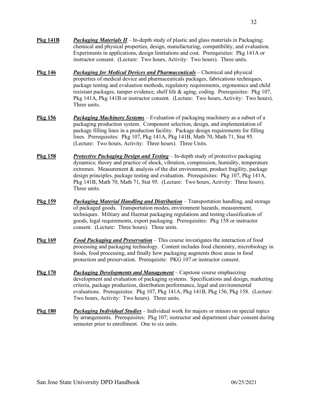- **Pkg 141B** *Packaging Materials II* In-depth study of plastic and glass materials in Packaging; chemical and physical properties, design, manufacturing, compatibility, and evaluation. Experiments in applications, design limitations and cost. Prerequisites: Pkg 141A or instructor consent. (Lecture: Two hours, Activity: Two hours). Three units.
- **Pkg 146** *Packaging for Medical Devices and Pharmaceuticals* Chemical and physical properties of medical device and pharmaceuticals packages, fabrications techniques, package testing and evaluation methods, regulatory requirements, ergonomics and child resistant packages, tamper evidence, shelf life & aging, coding. Prerequisites: Pkg 107, Pkg 141A, Pkg 141B or instructor consent. (Lecture: Two hours, Activity: Two hours). Three units.
- **Pkg 156** *Packaging Machinery Systems* Evaluation of packaging machinery as a subset of a packaging production system. Component selection, design, and implementation of package filling lines in a production facility. Package design requirements for filling lines. Prerequisites: Pkg 107, Pkg 141A, Pkg 141B, Math 70, Math 71, Stat 95. (Lecture: Two hours, Activity: Three hours). Three Units.
- **Pkg 158** *Protective Packaging Design and Testing* In-depth study of protective packaging dynamics; theory and practice of shock, vibration, compression, humidity, temperature extremes. Measurement & analysis of the dist environment, product fragility, package design principles, package testing and evaluation. Prerequisites: Pkg 107, Pkg 141A, Pkg 141B, Math 70, Math 71, Stat 95. (Lecture: Two hours, Activity: Three hours). Three units.
- **Pkg 159** *Packaging Material Handling and Distribution* Transportation handling, and storage of packaged goods. Transportation modes, environment hazards, measurement, techniques. Military and Hazmat packaging regulations and testing classification of goods, legal requirements, export packaging. Prerequisites: Pkg 158 or instructor consent. (Lecture: Three hours). Three units.
- **Pkg 169** *Food Packaging and Preservation* This course investigates the interaction of food processing and packaging technology. Content includes food chemistry, microbiology in foods, food processing, and finally how packaging augments these areas in food protection and preservation. Prerequisite: PKG 107 or instructor consent.
- **Pkg 170** *Packaging Developments and Management* Capstone course emphasizing development and evaluation of packaging systems. Specifications and design, marketing criteria, package production, distribution performance, legal and environmental evaluations. Prerequisites: Pkg 107, Pkg 141A, Pkg 141B, Pkg 156, Pkg 158. (Lecture: Two hours, Activity: Two hours). Three units.
- **Pkg 180** *Packaging Individual Studies* Individual work for majors or minors on special topics by arrangements. Prerequisites: Pkg 107; instructor and department chair consent during semester prior to enrollment. One to six units.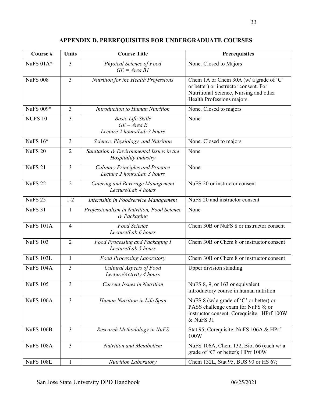| Course #         | <b>Units</b>   | <b>Course Title</b>                                                      | <b>Prerequisites</b>                                                                                                                                    |
|------------------|----------------|--------------------------------------------------------------------------|---------------------------------------------------------------------------------------------------------------------------------------------------------|
| NuFS $01A*$      | 3              | Physical Science of Food<br>$GE = Area B1$                               | None. Closed to Majors                                                                                                                                  |
| <b>NuFS 008</b>  | 3              | Nutrition for the Health Professions                                     | Chem 1A or Chem 30A (w/ a grade of 'C'<br>or better) or instructor consent. For<br>Nutritional Science, Nursing and other<br>Health Professions majors. |
| <b>NuFS 009*</b> | 3              | Introduction to Human Nutrition                                          | None. Closed to majors                                                                                                                                  |
| <b>NUFS 10</b>   | 3              | <b>Basic Life Skills</b><br>$GE - Area E$<br>Lecture 2 hours/Lab 3 hours | None                                                                                                                                                    |
| NuFS 16*         | 3              | Science, Physiology, and Nutrition                                       | None. Closed to majors                                                                                                                                  |
| <b>NuFS 20</b>   | $\overline{2}$ | Sanitation & Environmental Issues in the<br>Hospitality Industry         | None                                                                                                                                                    |
| <b>NuFS 21</b>   | 3              | <b>Culinary Principles and Practice</b><br>Lecture 2 hours/Lab 3 hours   | None                                                                                                                                                    |
| <b>NuFS 22</b>   | $\overline{2}$ | Catering and Beverage Management<br>Lecture/Lab 4 hours                  | NuFS 20 or instructor consent                                                                                                                           |
| <b>NuFS 25</b>   | $1 - 2$        | Internship in Foodservice Management                                     | NuFS 20 and instructor consent                                                                                                                          |
| <b>NuFS 31</b>   | $\mathbf{1}$   | Professionalism in Nutrition, Food Science<br>& Packaging                | None                                                                                                                                                    |
| <b>NuFS 101A</b> | $\overline{4}$ | Food Science<br>Lecture/Lab 6 hours                                      | Chem 30B or NuFS 8 or instructor consent                                                                                                                |
| <b>NuFS 103</b>  | $\overline{2}$ | Food Processing and Packaging I<br>Lecture/Lab 5 hours                   | Chem 30B or Chem 8 or instructor consent                                                                                                                |
| <b>NuFS 103L</b> | $\mathbf{1}$   | <b>Food Processing Laboratory</b>                                        | Chem 30B or Chem 8 or instructor consent                                                                                                                |
| <b>NuFS 104A</b> | 3              | Cultural Aspects of Food<br>Lecture/Activity 4 hours                     | <b>Upper division standing</b>                                                                                                                          |
| <b>NuFS 105</b>  | 3              | <b>Current Issues in Nutrition</b>                                       | NuFS 8, 9, or 163 or equivalent<br>introductory course in human nutrition                                                                               |
| <b>NuFS 106A</b> | 3              | Human Nutrition in Life Span                                             | NuFS 8 (w/ a grade of 'C' or better) or<br>PASS challenge exam for NuFS 8; or<br>instructor consent. Corequisite: HPrf 100W<br>& NuFS 31                |
| <b>NuFS 106B</b> | $\overline{3}$ | Research Methodology in NuFS                                             | Stat 95; Corequisite: NuFS 106A & HPrf<br>100W                                                                                                          |
| <b>NuFS 108A</b> | 3              | Nutrition and Metabolism                                                 | NuFS 106A, Chem 132, Biol 66 (each w/ a<br>grade of 'C' or better); HPrf 100W                                                                           |
| <b>NuFS 108L</b> |                | <b>Nutrition Laboratory</b>                                              | Chem 132L, Stat 95, BUS 90 or HS 67;                                                                                                                    |

## **APPENDIX D. PREREQUISITES FOR UNDERGRADUATE COURSES**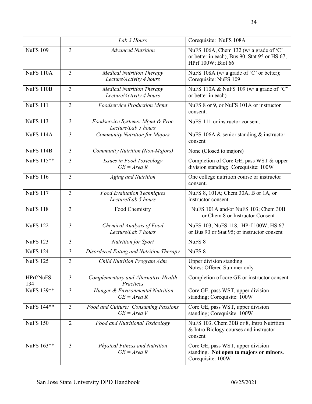|                  |                         | Lab 3 Hours                                                  | Corequisite: NuFS 108A                                                                                        |
|------------------|-------------------------|--------------------------------------------------------------|---------------------------------------------------------------------------------------------------------------|
| <b>NuFS 109</b>  | 3                       | <b>Advanced Nutrition</b>                                    | NuFS 106A, Chem 132 (w/ a grade of 'C'<br>or better in each), Bus 90, Stat 95 or HS 67;<br>HPrf 100W; Biol 66 |
| <b>NuFS 110A</b> | 3                       | <b>Medical Nutrition Therapy</b><br>Lecture/Activity 4 hours | NuFS 108A (w/ a grade of 'C' or better);<br>Corequisite: NuFS 109                                             |
| <b>NuFS 110B</b> | 3                       | <b>Medical Nutrition Therapy</b><br>Lecture/Activity 4 hours | NuFS 110A & NuFS 109 (w/ a grade of "C"<br>or better in each)                                                 |
| <b>NuFS 111</b>  | $\overline{3}$          | <b>Foodservice Production Mgmt</b>                           | NuFS 8 or 9, or NuFS 101A or instructor<br>consent.                                                           |
| <b>NuFS 113</b>  | 3                       | Foodservice Systems: Mgmt & Proc<br>Lecture/Lab 5 hours      | NuFS 111 or instructor consent.                                                                               |
| <b>NuFS 114A</b> | 3                       | <b>Community Nutrition for Majors</b>                        | NuFS 106A $\&$ senior standing $\&$ instructor<br>consent                                                     |
| <b>NuFS 114B</b> | 3                       | Community Nutrition (Non-Majors)                             | None (Closed to majors)                                                                                       |
| NuFS 115**       | 3                       | Issues in Food Toxicology<br>$GE = Area R$                   | Completion of Core GE; pass WST & upper<br>division standing; Corequisite: 100W                               |
| <b>NuFS 116</b>  | $\overline{\mathbf{3}}$ | Aging and Nutrition                                          | One college nutrition course or instructor<br>consent.                                                        |
| <b>NuFS 117</b>  | 3                       | <b>Food Evaluation Techniques</b><br>Lecture/Lab 5 hours     | NuFS 8, 101A; Chem 30A, B or 1A, or<br>instructor consent.                                                    |
| <b>NuFS 118</b>  | 3                       | Food Chemistry                                               | NuFS 101A and/or NuFS 103; Chem 30B<br>or Chem 8 or Instructor Consent                                        |
| <b>NuFS 122</b>  | 3                       | Chemical Analysis of Food<br>Lecture/Lab 7 hours             | NuFS 103, NuFS 118, HPrf 100W, HS 67<br>or Bus 90 or Stat 95; or instructor consent                           |
| <b>NuFS 123</b>  | 3                       | <b>Nutrition for Sport</b>                                   | NuFS <sub>8</sub>                                                                                             |
| <b>NuFS 124</b>  | 3                       | Disordered Eating and Nutrition Therapy                      | NuFS <sub>8</sub>                                                                                             |
| <b>NuFS 125</b>  | $\overline{\mathbf{3}}$ | Child Nutrition Program Adm                                  | <b>Upper division standing</b><br>Notes: Offered Summer only                                                  |
| HPrf/NuFS<br>134 | 3                       | Complementary and Alternative Health<br>Practices            | Completion of core GE or instructor consent                                                                   |
| NuFS 139**       | 3                       | Hunger & Environmental Nutrition<br>$GE = Area R$            | Core GE, pass WST, upper division<br>standing; Corequisite: 100W                                              |
| NuFS 144**       | 3                       | Food and Culture: Consuming Passions<br>$GE = Area V$        | Core GE, pass WST, upper division<br>standing; Corequisite: 100W                                              |
| <b>NuFS 150</b>  | $\overline{2}$          | Food and Nutritional Toxicology                              | NuFS 103, Chem 30B or 8, Intro Nutrition<br>& Intro Biology courses and instructor<br>consent                 |
| NuFS 163**       | 3                       | Physical Fitness and Nutrition<br>$GE = Area R$              | Core GE, pass WST, upper division<br>standing. Not open to majors or minors.<br>Corequisite: 100W             |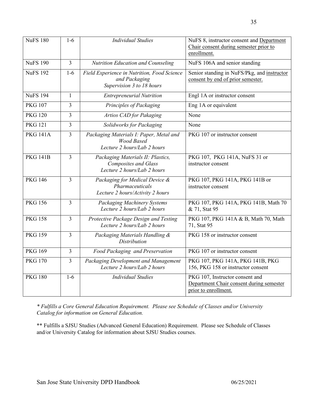| <b>NuFS 180</b> | $1-6$          | <b>Individual Studies</b>                                                                       | NuFS 8, instructor consent and Department<br>Chair consent during semester prior to<br>enrollment.  |
|-----------------|----------------|-------------------------------------------------------------------------------------------------|-----------------------------------------------------------------------------------------------------|
| <b>NuFS 190</b> | $\overline{3}$ | Nutrition Education and Counseling                                                              | NuFS 106A and senior standing                                                                       |
| <b>NuFS 192</b> | $1-6$          | Field Experience in Nutrition, Food Science<br>and Packaging<br>Supervision 3 to 18 hours       | Senior standing in NuFS/Pkg, and instructor<br>consent by end of prior semester.                    |
| <b>NuFS 194</b> | 1              | <b>Entrepreneurial Nutrition</b>                                                                | Engl 1A or instructor consent                                                                       |
| <b>PKG 107</b>  | 3              | Principles of Packaging                                                                         | Eng 1A or equivalent                                                                                |
| <b>PKG 120</b>  | 3              | Artios CAD for Pakaging                                                                         | None                                                                                                |
| <b>PKG 121</b>  | 3              | Solidworks for Packaging                                                                        | None                                                                                                |
| <b>PKG 141A</b> | 3              | Packaging Materials I: Paper, Metal and<br><b>Wood Based</b><br>Lecture 2 hours/Lab 2 hours     | PKG 107 or instructor consent                                                                       |
| <b>PKG 141B</b> | $\overline{3}$ | Packaging Materials II: Plastics,<br><b>Composites and Glass</b><br>Lecture 2 hours/Lab 2 hours | PKG 107, PKG 141A, NuFS 31 or<br>instructor consent                                                 |
| <b>PKG 146</b>  | $\overline{3}$ | Packaging for Medical Device &<br>Pharmaceuticals<br>Lecture 2 hours/Activity 2 hours           | PKG 107, PKG 141A, PKG 141B or<br>instructor consent                                                |
| <b>PKG 156</b>  | $\overline{3}$ | Packaging Machinery Systems<br>Lecture 2 hours/Lab 2 hours                                      | PKG 107, PKG 141A, PKG 141B, Math 70<br>& 71, Stat 95                                               |
| <b>PKG 158</b>  | $\overline{3}$ | Protective Package Design and Testing<br>Lecture 2 hours/Lab 2 hours                            | PKG 107, PKG 141A & B, Math 70, Math<br>71, Stat 95                                                 |
| <b>PKG 159</b>  | 3              | Packaging Materials Handling &<br>Distribution                                                  | PKG 158 or instructor consent                                                                       |
| <b>PKG 169</b>  | $\overline{3}$ | Food Packaging and Preservation                                                                 | PKG 107 or instructor consent                                                                       |
| <b>PKG 170</b>  | $\overline{3}$ | Packaging Development and Management<br>Lecture 2 hours/Lab 2 hours                             | PKG 107, PKG 141A, PKG 141B, PKG<br>156, PKG 158 or instructor consent                              |
| <b>PKG 180</b>  | $1-6$          | <b>Individual Studies</b>                                                                       | PKG 107, Instructor consent and<br>Department Chair consent during semester<br>prior to enrollment. |

 *\* Fulfills a Core General Education Requirement. Please see Schedule of Classes and/or University Catalog for information on General Education.*

 \*\* Fulfills a SJSU Studies (Advanced General Education) Requirement. Please see Schedule of Classes and/or University Catalog for information about SJSU Studies courses.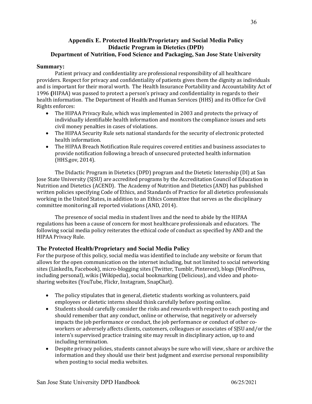### <span id="page-35-0"></span> **Appendix E. Protected Health/Proprietary and Social Media Policy Didactic Program in Dietetics (DPD) Department of Nutrition, Food Science and Packaging, San Jose State University**

#### **Summary:**

 providers. Respect for privacy and confidentiality of patients gives them the dignity as individuals and is important for their moral worth. The Health Insurance Portability and Accountability Act of 1996 **(**HIPAA) was passed to protect a person's privacy and confidentiality in regards to their health information. The Department of Health and Human Services (HHS) and its Office for Civil Patient privacy and confidentiality are professional responsibility of all healthcare Rights enforces:

- The HIPAA Privacy Rule, which was implemented in 2003 and protects the privacy of individually identifiable health information and monitors the compliance issues and sets civil money penalties in cases of violations.
- The HIPAA Security Rule sets national standards for the security of electronic protected health information.
- The HIPAA Breach Notification Rule requires covered entities and business associates to provide notification following a breach of unsecured protected health information (HHS.gov, 2014).

The Didactic Program in Dietetics (DPD) program and the Dietetic Internship (DI) at San Jose State University (SJSU) are accredited programs by the Accreditation Council of Education in Nutrition and Dietetics (ACEND). The Academy of Nutrition and Dietetics (AND) has published written policies specifying Code of Ethics, and Standards of Practice for all dietetics professionals working in the United States, in addition to an Ethics Committee that serves as the disciplinary committee monitoring all reported violations (AND, 2014).

 The presence of social media in student lives and the need to abide by the HIPAA regulations has been a cause of concern for most healthcare professionals and educators. The following social media policy reiterates the ethical code of conduct as specified by AND and the HIPAA Privacy Rule.

## **The Protected Health/Proprietary and Social Media Policy**

For the purpose of this policy, social media was identified to include any website or forum that allows for the open communication on the internet including, but not limited to social networking sites (LinkedIn, Facebook), micro-blogging sites (Twitter, Tumblr, Pinterest), blogs (WordPress, including personal), wikis (Wikipedia), social bookmarking (Delicious), and video and photosharing websites (YouTube, Flickr, Instagram, SnapChat).

- The policy stipulates that in general, dietetic students working as volunteers, paid employees or dietetic interns should think carefully before posting online.
- Students should carefully consider the risks and rewards with respect to each posting and should remember that any conduct, online or otherwise, that negatively or adversely impacts the job performance or conduct, the job performance or conduct of other co- workers or adversely affects clients, customers, colleagues or associates of SJSU and/or the intern's supervised practice training site may result in disciplinary action, up to and including termination.
- Despite privacy policies, students cannot always be sure who will view, share or archive the information and they should use their best judgment and exercise personal responsibility when posting to social media websites.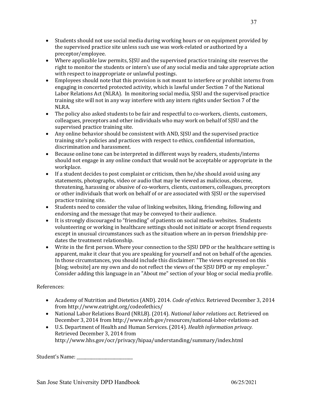- Students should not use social media during working hours or on equipment provided by the supervised practice site unless such use was work-related or authorized by a preceptor/employee.
- Where applicable law permits, SJSU and the supervised practice training site reserves the right to monitor the students or intern's use of any social media and take appropriate action with respect to inappropriate or unlawful postings.
- Employees should note that this provision is not meant to interfere or prohibit interns from engaging in concerted protected activity, which is lawful under Section 7 of the National Labor Relations Act (NLRA). In monitoring social media, SJSU and the supervised practice training site will not in any way interfere with any intern rights under Section 7 of the NLRA.
- The policy also asked students to be fair and respectful to co-workers, clients, customers, colleagues, preceptors and other individuals who may work on behalf of SJSU and the supervised practice training site.
- Any online behavior should be consistent with AND, SJSU and the supervised practice training site's policies and practices with respect to ethics, confidential information, discrimination and harassment.
- should not engage in any online conduct that would not be acceptable or appropriate in the • Because online tone can be interpreted in different ways by readers, students/interns workplace.
- If a student decides to post complaint or criticism, then he/she should avoid using any statements, photographs, video or audio that may be viewed as malicious, obscene, threatening, harassing or abusive of co-workers, clients, customers, colleagues, preceptors or other individuals that work on behalf of or are associated with SJSU or the supervised practice training site.
- Students need to consider the value of linking websites, liking, friending, following and endorsing and the message that may be conveyed to their audience.
- It is strongly discouraged to "friending" of patients on social media websites. Students volunteering or working in healthcare settings should not initiate or accept friend requests except in unusual circumstances such as the situation where an in-person friendship predates the treatment relationship.
- Write in the first person. Where your connection to the SJSU DPD or the healthcare setting is apparent, make it clear that you are speaking for yourself and not on behalf of the agencies. In those circumstances, you should include this disclaimer: "The views expressed on this Consider adding this language in an "About me" section of your blog or social media profile. [blog; website] are my own and do not reflect the views of the SJSU DPD or my employer."

## References:

- Academy of Nutrition and Dietetics (AND). 2014. *Code of ethics.* Retrieved December 3, 2014 from http://www.eatright.org/codeofethics/
- National Labor Relations Board (NRLB). (2014). *National labor relations act*. Retrieved on December 3, 2014 from http://www.nlrb.gov/resources/national-labor-relations-act
- U.S. Department of Health and Human Services. (2014). *Health information privacy.* Retrieved December 3, 2014 from http://www.hhs.gov/ocr/privacy/hipaa/understanding/summary/index.html

 Student's Name: \_\_\_\_\_\_\_\_\_\_\_\_\_\_\_\_\_\_\_\_\_\_\_\_\_\_\_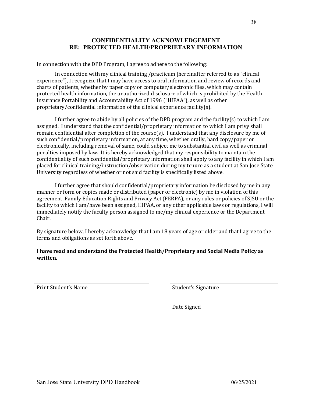### **RE: PROTECTED HEALTH/PROPRIETARY INFORMATION CONFIDENTIALITY ACKNOWLEDGEMENT**

In connection with the DPD Program, I agree to adhere to the following:

 In connection with my clinical training /practicum [hereinafter referred to as "clinical experience"], I recognize that I may have access to oral information and review of records and charts of patients, whether by paper copy or computer/electronic files, which may contain protected health information, the unauthorized disclosure of which is prohibited by the Health Insurance Portability and Accountability Act of 1996 ("HIPAA"), as well as other proprietary/confidential information of the clinical experience facility(s).

I further agree to abide by all policies of the DPD program and the facility(s) to which I am assigned. I understand that the confidential/proprietary information to which I am privy shall remain confidential after completion of the course(s). I understand that any disclosure by me of such confidential/proprietary information, at any time, whether orally, hard copy/paper or electronically, including removal of same, could subject me to substantial civil as well as criminal penalties imposed by law. It is hereby acknowledged that my responsibility to maintain the confidentiality of such confidential/proprietary information shall apply to any facility in which I am placed for clinical training/instruction/observation during my tenure as a student at San Jose State University regardless of whether or not said facility is specifically listed above.

I further agree that should confidential/proprietary information be disclosed by me in any manner or form or copies made or distributed (paper or electronic) by me in violation of this agreement, Family Education Rights and Privacy Act (FERPA), or any rules or policies of SJSU or the facility to which I am/have been assigned, HIPAA, or any other applicable laws or regulations, I will immediately notify the faculty person assigned to me/my clinical experience or the Department Chair.

By signature below, I hereby acknowledge that I am 18 years of age or older and that I agree to the terms and obligations as set forth above.

## I have read and understand the Protected Health/Proprietary and Social Media Policy as **written.**

Print Student's Name Student's Signature

Date Signed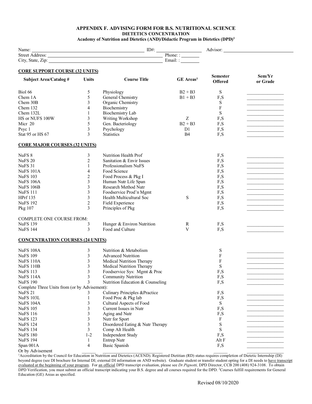#### **APPENDIX F. ADVISING FORM FOR B.S. NUTRITIONAL SCIENCE DIETETICS CONCENTRATION**

 **Academy of Nutrition and Dietetics (AND)/Didactic Program in Dietetics (DPD)1**

| <b>CORE SUPPORT COURSE (32 UNITS)</b>         |                  |                                  |                              |                           |                                                                                                                      |
|-----------------------------------------------|------------------|----------------------------------|------------------------------|---------------------------|----------------------------------------------------------------------------------------------------------------------|
| <b>Subject Area/Catalog#</b>                  | Units            | <b>Course Title</b>              | <b>GE</b> Areas <sup>2</sup> | <b>Semester</b>           | Sem/Yr                                                                                                               |
|                                               |                  |                                  |                              | <b>Offered</b>            | or Grade                                                                                                             |
|                                               |                  |                                  |                              |                           |                                                                                                                      |
| Biol 66                                       | 5                | Physiology                       | $B2 + B3$                    | S                         |                                                                                                                      |
| Chem 1A                                       | 5                | General Chemistry                | $B1 + B3$                    | F,S                       |                                                                                                                      |
| Chem 30B                                      | 3                | Organic Chemistry                |                              | S                         |                                                                                                                      |
| Chem 132                                      | 4                | Biochemistry                     |                              | $\boldsymbol{\mathrm{F}}$ |                                                                                                                      |
| Chem 132L                                     | 1                | <b>Biochemistry Lab</b>          |                              | S                         |                                                                                                                      |
| HS or NUFS 100W                               | 3                | Writing Workshop                 | Z                            | F,S                       |                                                                                                                      |
| Micr 20                                       | 5                | Gen. Bacteriology                | $B2 + B3$                    | F,S                       |                                                                                                                      |
| Psyc 1                                        | 3                | Psychology                       | D <sub>1</sub>               | F,S                       |                                                                                                                      |
| Stat 95 or HS 67                              | 3                | <b>Statistics</b>                | <b>B4</b>                    | F,S                       |                                                                                                                      |
|                                               |                  |                                  |                              |                           |                                                                                                                      |
| <b>CORE MAJOR COURSES (32 UNITS)</b>          |                  |                                  |                              |                           |                                                                                                                      |
| NuFS <sub>8</sub>                             | 3                | Nutrition Health Prof            |                              | F,S                       |                                                                                                                      |
|                                               |                  |                                  |                              |                           |                                                                                                                      |
| NuFS <sub>20</sub>                            | 2                | Sanitation & Envir Issues        |                              | F,S                       | <u> 2001 - Johann John Stone, mars and de la partie de la partie de la partie de la partie de la partie de la pa</u> |
| NuFS 31                                       | $\mathbf{1}$     | Professionalism NuFS             |                              | F,S                       |                                                                                                                      |
| <b>NuFS 101A</b>                              | 4                | Food Science                     |                              | F,S                       | <u> 1989 - Jan James James Jan James James Jan James James James James James James James James James James James</u> |
| <b>NuFS 103</b>                               | 2                | Food Process & Pkg I             |                              | F,S                       |                                                                                                                      |
| <b>NuFS 106A</b>                              | $\mathfrak{Z}$   | Human Nutr Life Span             |                              | F,S                       |                                                                                                                      |
| <b>NuFS 106B</b>                              | 3                | Research Method Nutr             |                              | F,S                       | <u> 1989 - Johann Barn, mars eta bainar eta idazlea (h. 1989).</u>                                                   |
| <b>NuFS</b> 111                               | 3                | Foodservice Prod'n Mgmt          |                              | F,S                       |                                                                                                                      |
| <b>HPrf</b> 135                               | $\mathfrak{Z}$   | Health Multicultural Soc         | S                            | F,S                       |                                                                                                                      |
| <b>NuFS 192</b>                               | $\boldsymbol{2}$ | Field Experience                 |                              | F,S                       |                                                                                                                      |
| Pkg 107                                       | 3                | Principles of Pkg                |                              | F,S                       |                                                                                                                      |
|                                               |                  |                                  |                              |                           |                                                                                                                      |
| <b>COMPLETE ONE COURSE FROM:</b>              |                  |                                  |                              |                           |                                                                                                                      |
| <b>NuFS 139</b>                               | 3                | Hunger & Environ Nutrition       | R                            | F,S                       |                                                                                                                      |
| <b>NuFS 144</b>                               | 3                | Food and Culture                 | V                            | F,S                       |                                                                                                                      |
| <b>CONCENTRATION COURSES (24 UNITS)</b>       |                  |                                  |                              |                           |                                                                                                                      |
|                                               |                  |                                  |                              |                           |                                                                                                                      |
| <b>NuFS 108A</b>                              | 3                | Nutrition & Metabolism           |                              | S                         |                                                                                                                      |
| <b>NuFS 109</b>                               | 3                | <b>Advanced Nutrition</b>        |                              | F                         |                                                                                                                      |
| <b>NuFS 110A</b>                              | $\mathfrak{Z}$   | Medical Nutrition Therapy        |                              | F                         |                                                                                                                      |
| <b>NuFS 110B</b>                              | 3                | Medical Nutrition Therapy        |                              | S                         |                                                                                                                      |
| <b>NuFS 113</b>                               | 3                | Foodservice Sys: Mgmt & Proc     |                              | F.<br>S.                  |                                                                                                                      |
| NuFS 114A                                     | 3                | <b>Community Nutrition</b>       |                              | F,S                       |                                                                                                                      |
| <b>NuFS 190</b>                               | 3                | Nutrition Education & Counseling |                              | F,S                       |                                                                                                                      |
| Complete Three Units from (or by Advisement): |                  |                                  |                              |                           |                                                                                                                      |
| NuFS <sub>21</sub>                            |                  | Culinary Principles & Practice   |                              | F,S                       |                                                                                                                      |
| <b>NuFS 103L</b>                              | 1                | Food Proc & Pkg lab              |                              | F,S                       |                                                                                                                      |
|                                               |                  | Cultural Aspects of Food         |                              |                           |                                                                                                                      |
| NuFS 104A                                     | 3                |                                  |                              | S                         |                                                                                                                      |
| <b>NuFS 105</b>                               | 3                | Current Issues in Nutr           |                              | F,S                       |                                                                                                                      |
| <b>NuFS 116</b>                               | 3                | Aging and Nutr                   |                              | F,S                       |                                                                                                                      |
| <b>NuFS 123</b>                               | 3                | Nutr for Sport                   |                              | $\boldsymbol{F}$          |                                                                                                                      |
| <b>NuFS 124</b>                               | 3                | Disordered Eating & Nutr Therapy |                              | S                         |                                                                                                                      |
| <b>NuFS 134</b>                               | 3                | Comp Alt Health                  |                              | $\mathbf S$               |                                                                                                                      |
| <b>NuFS 180</b>                               | $1 - 2$          | Independent Study                |                              | F,S                       |                                                                                                                      |
| <b>NuFS 194</b>                               | 1                | Entrep Nutr                      |                              | Alt F                     |                                                                                                                      |
| Span 001A                                     | 4                | <b>Basic Spanish</b>             |                              | F,S                       |                                                                                                                      |
| Or by Advisement                              |                  |                                  |                              |                           |                                                                                                                      |

<sup>1</sup> Accreditation by the Council for Education in Nutrition and Dietetics (ACEND). Registered Dietitian (RD) status requires completion of Dietetic Internship (DI) beyond degree (see DI brochure for Internal DI; external DI information on AND website). Graduate student or transfer student opting for a DI needs to have transcript l j Education (GE) Areas as specified. evaluated at the beginning of your program. For an official DPD transcript evaluation, please see *Dr.Pignotti*, DPD Director, CCB 200 (408) 924-3108. To obtain DPD Verification, you must submit an official transcript indicating your B.S. degree and all courses required for the DPD. <sup>2</sup>Courses fulfill requirements for General